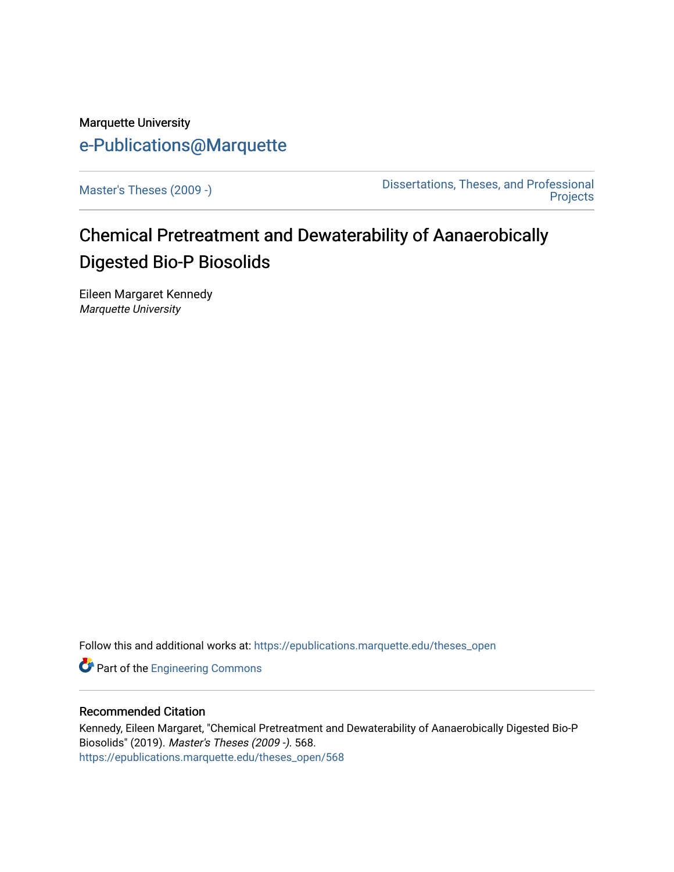# Marquette University [e-Publications@Marquette](https://epublications.marquette.edu/)

[Master's Theses \(2009 -\)](https://epublications.marquette.edu/theses_open) [Dissertations, Theses, and Professional](https://epublications.marquette.edu/diss_theses)  **Projects** 

# Chemical Pretreatment and Dewaterability of Aanaerobically Digested Bio-P Biosolids

Eileen Margaret Kennedy Marquette University

Follow this and additional works at: [https://epublications.marquette.edu/theses\\_open](https://epublications.marquette.edu/theses_open?utm_source=epublications.marquette.edu%2Ftheses_open%2F568&utm_medium=PDF&utm_campaign=PDFCoverPages) 

**Part of the [Engineering Commons](http://network.bepress.com/hgg/discipline/217?utm_source=epublications.marquette.edu%2Ftheses_open%2F568&utm_medium=PDF&utm_campaign=PDFCoverPages)** 

### Recommended Citation

Kennedy, Eileen Margaret, "Chemical Pretreatment and Dewaterability of Aanaerobically Digested Bio-P Biosolids" (2019). Master's Theses (2009 -). 568. [https://epublications.marquette.edu/theses\\_open/568](https://epublications.marquette.edu/theses_open/568?utm_source=epublications.marquette.edu%2Ftheses_open%2F568&utm_medium=PDF&utm_campaign=PDFCoverPages)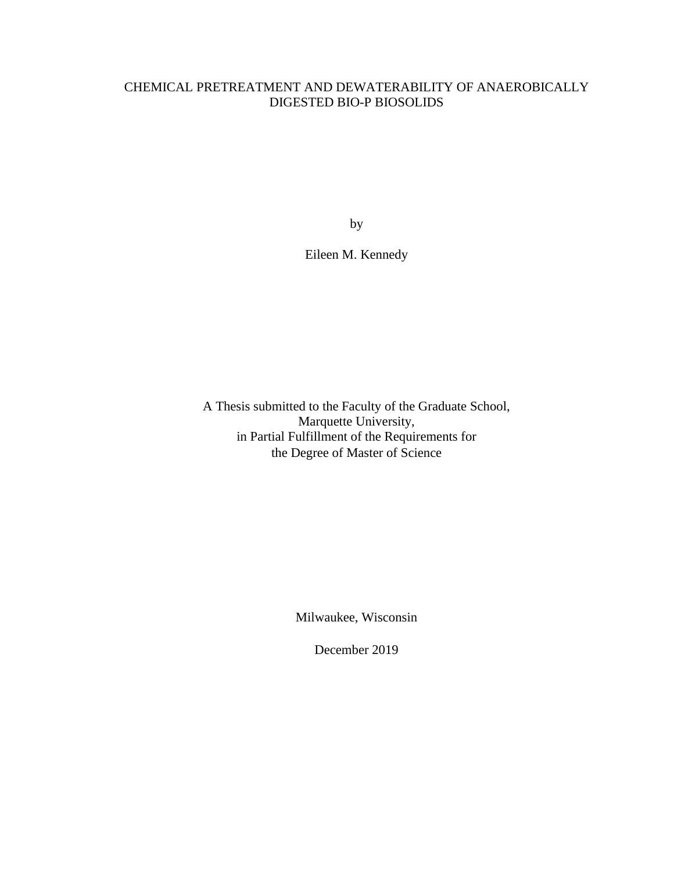## CHEMICAL PRETREATMENT AND DEWATERABILITY OF ANAEROBICALLY DIGESTED BIO-P BIOSOLIDS

by

Eileen M. Kennedy

A Thesis submitted to the Faculty of the Graduate School, Marquette University, in Partial Fulfillment of the Requirements for the Degree of Master of Science

Milwaukee, Wisconsin

December 2019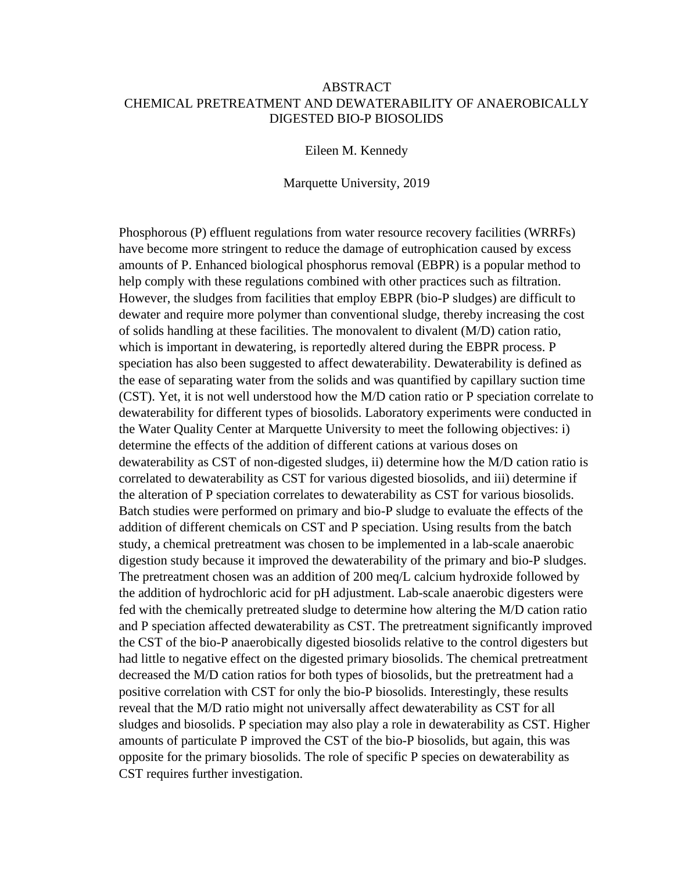## ABSTRACT CHEMICAL PRETREATMENT AND DEWATERABILITY OF ANAEROBICALLY DIGESTED BIO-P BIOSOLIDS

Eileen M. Kennedy

Marquette University, 2019

Phosphorous (P) effluent regulations from water resource recovery facilities (WRRFs) have become more stringent to reduce the damage of eutrophication caused by excess amounts of P. Enhanced biological phosphorus removal (EBPR) is a popular method to help comply with these regulations combined with other practices such as filtration. However, the sludges from facilities that employ EBPR (bio-P sludges) are difficult to dewater and require more polymer than conventional sludge, thereby increasing the cost of solids handling at these facilities. The monovalent to divalent (M/D) cation ratio, which is important in dewatering, is reportedly altered during the EBPR process. P speciation has also been suggested to affect dewaterability. Dewaterability is defined as the ease of separating water from the solids and was quantified by capillary suction time (CST). Yet, it is not well understood how the M/D cation ratio or P speciation correlate to dewaterability for different types of biosolids. Laboratory experiments were conducted in the Water Quality Center at Marquette University to meet the following objectives: i) determine the effects of the addition of different cations at various doses on dewaterability as CST of non-digested sludges, ii) determine how the M/D cation ratio is correlated to dewaterability as CST for various digested biosolids, and iii) determine if the alteration of P speciation correlates to dewaterability as CST for various biosolids. Batch studies were performed on primary and bio-P sludge to evaluate the effects of the addition of different chemicals on CST and P speciation. Using results from the batch study, a chemical pretreatment was chosen to be implemented in a lab-scale anaerobic digestion study because it improved the dewaterability of the primary and bio-P sludges. The pretreatment chosen was an addition of 200 meq/L calcium hydroxide followed by the addition of hydrochloric acid for pH adjustment. Lab-scale anaerobic digesters were fed with the chemically pretreated sludge to determine how altering the M/D cation ratio and P speciation affected dewaterability as CST. The pretreatment significantly improved the CST of the bio-P anaerobically digested biosolids relative to the control digesters but had little to negative effect on the digested primary biosolids. The chemical pretreatment decreased the M/D cation ratios for both types of biosolids, but the pretreatment had a positive correlation with CST for only the bio-P biosolids. Interestingly, these results reveal that the M/D ratio might not universally affect dewaterability as CST for all sludges and biosolids. P speciation may also play a role in dewaterability as CST. Higher amounts of particulate P improved the CST of the bio-P biosolids, but again, this was opposite for the primary biosolids. The role of specific P species on dewaterability as CST requires further investigation.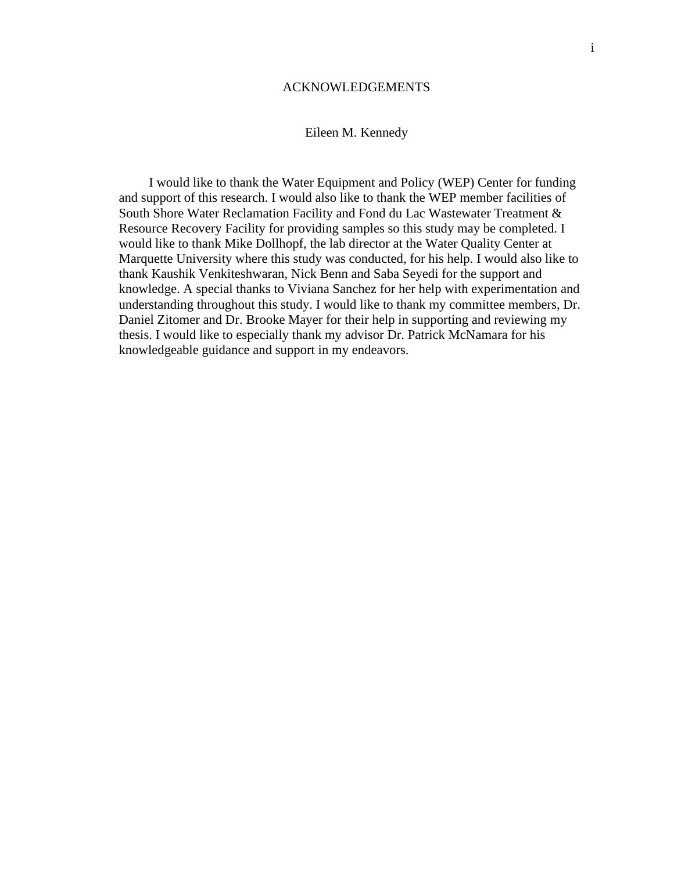#### ACKNOWLEDGEMENTS

### Eileen M. Kennedy

<span id="page-3-0"></span>I would like to thank the Water Equipment and Policy (WEP) Center for funding and support of this research. I would also like to thank the WEP member facilities of South Shore Water Reclamation Facility and Fond du Lac Wastewater Treatment & Resource Recovery Facility for providing samples so this study may be completed. I would like to thank Mike Dollhopf, the lab director at the Water Quality Center at Marquette University where this study was conducted, for his help. I would also like to thank Kaushik Venkiteshwaran, Nick Benn and Saba Seyedi for the support and knowledge. A special thanks to Viviana Sanchez for her help with experimentation and understanding throughout this study. I would like to thank my committee members, Dr. Daniel Zitomer and Dr. Brooke Mayer for their help in supporting and reviewing my thesis. I would like to especially thank my advisor Dr. Patrick McNamara for his knowledgeable guidance and support in my endeavors.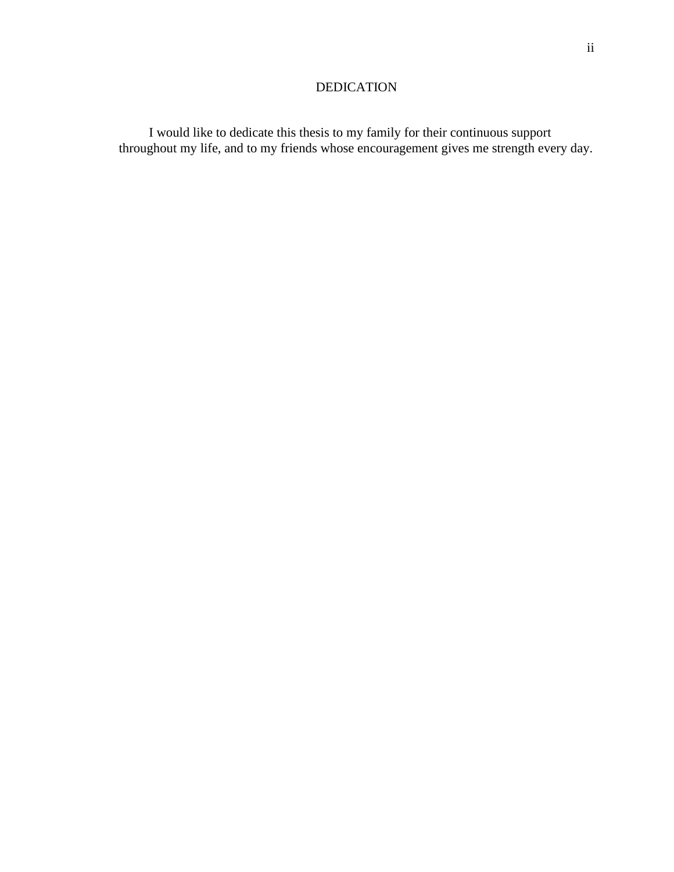## DEDICATION

<span id="page-4-0"></span>I would like to dedicate this thesis to my family for their continuous support throughout my life, and to my friends whose encouragement gives me strength every day.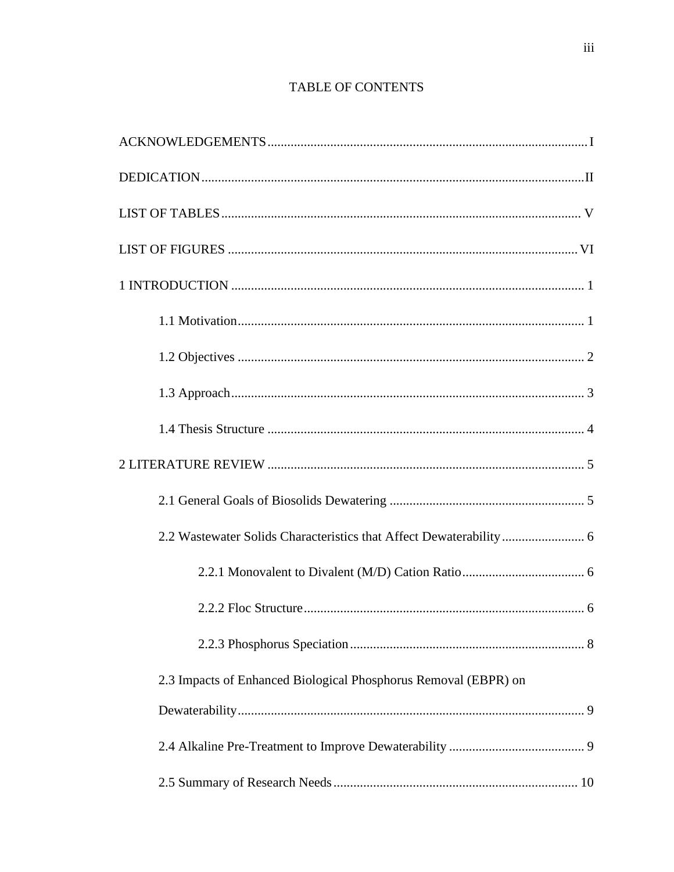## TABLE OF CONTENTS

| 2.3 Impacts of Enhanced Biological Phosphorus Removal (EBPR) on |
|-----------------------------------------------------------------|
|                                                                 |
|                                                                 |
|                                                                 |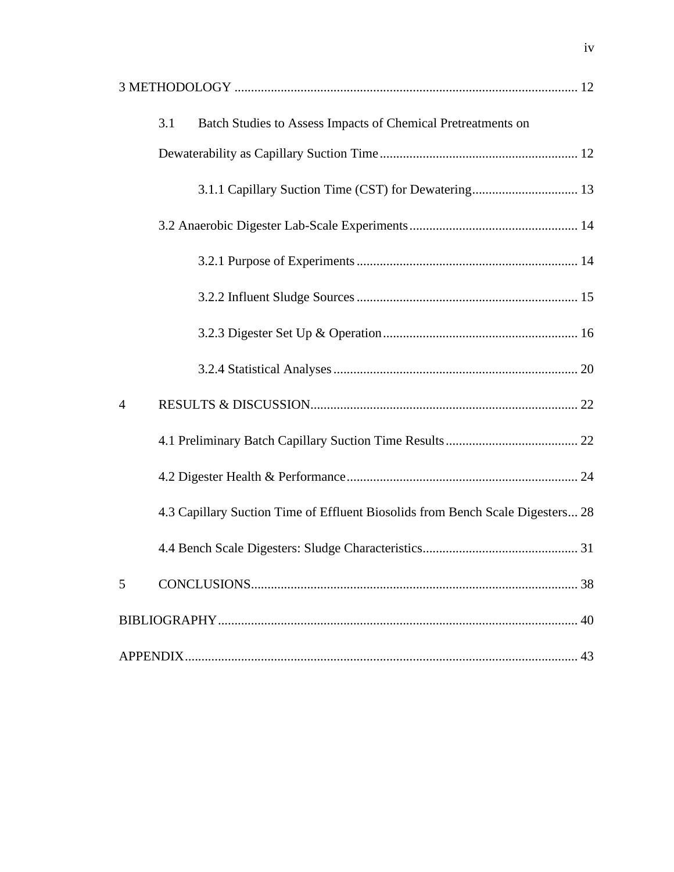| Batch Studies to Assess Impacts of Chemical Pretreatments on<br>3.1            |  |
|--------------------------------------------------------------------------------|--|
|                                                                                |  |
| 3.1.1 Capillary Suction Time (CST) for Dewatering 13                           |  |
|                                                                                |  |
|                                                                                |  |
|                                                                                |  |
|                                                                                |  |
|                                                                                |  |
| $\overline{4}$                                                                 |  |
|                                                                                |  |
|                                                                                |  |
| 4.3 Capillary Suction Time of Effluent Biosolids from Bench Scale Digesters 28 |  |
|                                                                                |  |
| 5                                                                              |  |
|                                                                                |  |
|                                                                                |  |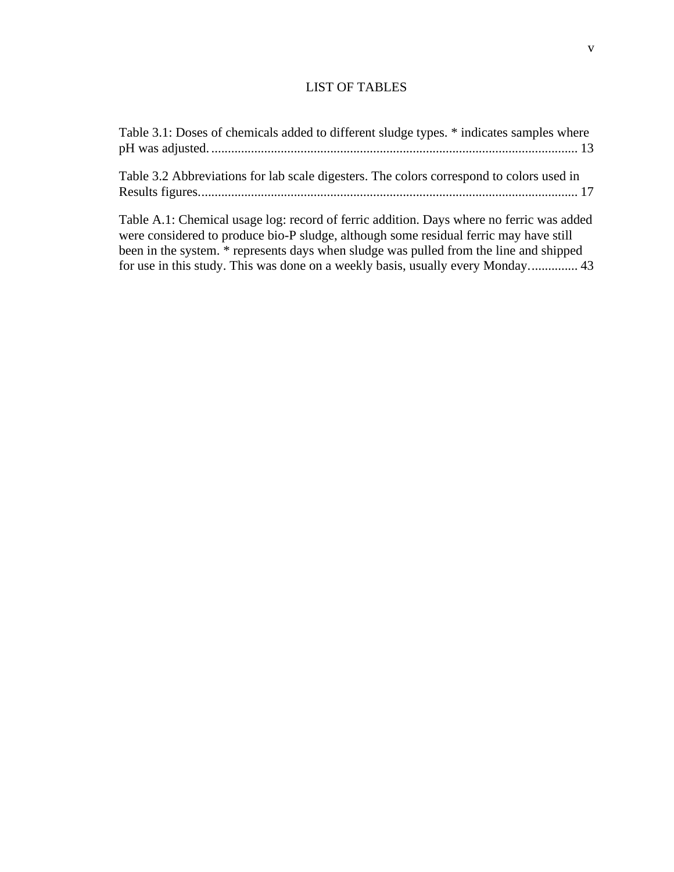## LIST OF TABLES

<span id="page-7-0"></span>

| Table 3.1: Doses of chemicals added to different sludge types. * indicates samples where |
|------------------------------------------------------------------------------------------|
| Table 3.2 Abbreviations for lab scale digesters. The colors correspond to colors used in |
| Table A.1: Chemical usage log: record of ferric addition. Days where no ferric was added |

were considered to produce bio-P sludge, although some residual ferric may have still been in the system. \* represents days when sludge was pulled from the line and shipped for use in this study. This was done on a weekly basis, usually every Monday............... 43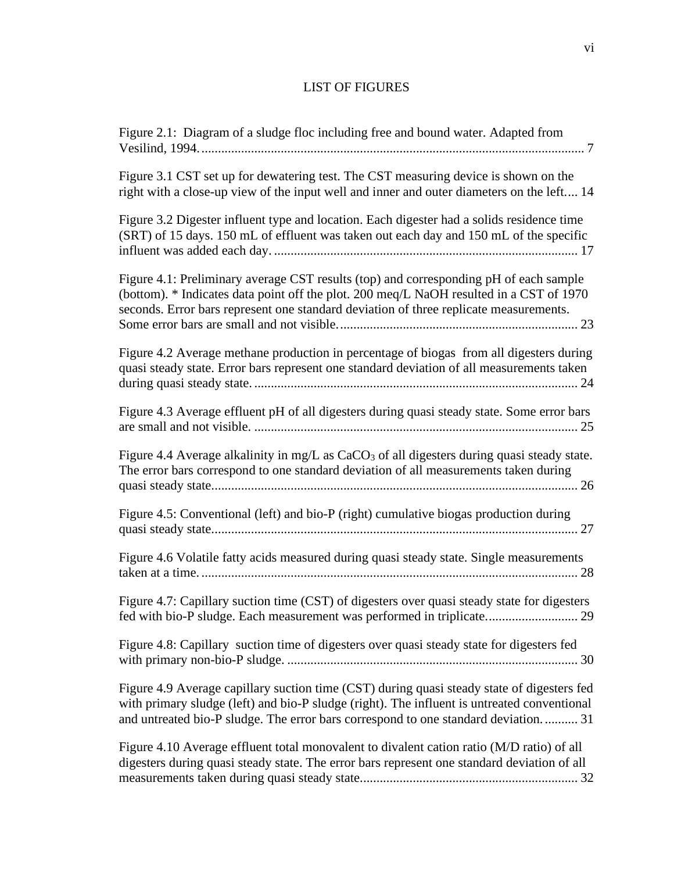# LIST OF FIGURES

<span id="page-8-0"></span>

| Figure 2.1: Diagram of a sludge floc including free and bound water. Adapted from                                                                                                                                                                                               |
|---------------------------------------------------------------------------------------------------------------------------------------------------------------------------------------------------------------------------------------------------------------------------------|
| Figure 3.1 CST set up for dewatering test. The CST measuring device is shown on the<br>right with a close-up view of the input well and inner and outer diameters on the left 14                                                                                                |
| Figure 3.2 Digester influent type and location. Each digester had a solids residence time<br>(SRT) of 15 days. 150 mL of effluent was taken out each day and 150 mL of the specific                                                                                             |
| Figure 4.1: Preliminary average CST results (top) and corresponding pH of each sample<br>(bottom). * Indicates data point off the plot. 200 meq/L NaOH resulted in a CST of 1970<br>seconds. Error bars represent one standard deviation of three replicate measurements.       |
| Figure 4.2 Average methane production in percentage of biogas from all digesters during<br>quasi steady state. Error bars represent one standard deviation of all measurements taken                                                                                            |
| Figure 4.3 Average effluent pH of all digesters during quasi steady state. Some error bars                                                                                                                                                                                      |
| Figure 4.4 Average alkalinity in mg/L as CaCO <sub>3</sub> of all digesters during quasi steady state.<br>The error bars correspond to one standard deviation of all measurements taken during                                                                                  |
| Figure 4.5: Conventional (left) and bio-P (right) cumulative biogas production during                                                                                                                                                                                           |
| Figure 4.6 Volatile fatty acids measured during quasi steady state. Single measurements                                                                                                                                                                                         |
| Figure 4.7: Capillary suction time (CST) of digesters over quasi steady state for digesters<br>fed with bio-P sludge. Each measurement was performed in triplicate 29                                                                                                           |
| Figure 4.8: Capillary suction time of digesters over quasi steady state for digesters fed                                                                                                                                                                                       |
| Figure 4.9 Average capillary suction time (CST) during quasi steady state of digesters fed<br>with primary sludge (left) and bio-P sludge (right). The influent is untreated conventional<br>and untreated bio-P sludge. The error bars correspond to one standard deviation 31 |
| Figure 4.10 Average effluent total monovalent to divalent cation ratio (M/D ratio) of all<br>digesters during quasi steady state. The error bars represent one standard deviation of all                                                                                        |
|                                                                                                                                                                                                                                                                                 |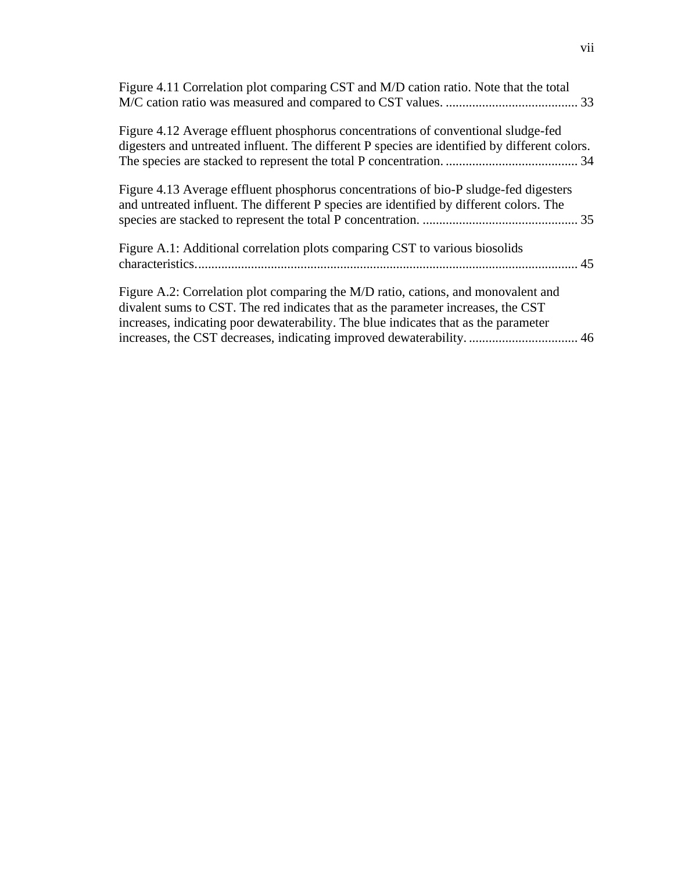| Figure 4.11 Correlation plot comparing CST and M/D cation ratio. Note that the total                                                                                                                                                                         |  |
|--------------------------------------------------------------------------------------------------------------------------------------------------------------------------------------------------------------------------------------------------------------|--|
| Figure 4.12 Average effluent phosphorus concentrations of conventional sludge-fed<br>digesters and untreated influent. The different P species are identified by different colors.                                                                           |  |
| Figure 4.13 Average effluent phosphorus concentrations of bio-P sludge-fed digesters<br>and untreated influent. The different P species are identified by different colors. The                                                                              |  |
| Figure A.1: Additional correlation plots comparing CST to various biosolids                                                                                                                                                                                  |  |
| Figure A.2: Correlation plot comparing the M/D ratio, cations, and monovalent and<br>divalent sums to CST. The red indicates that as the parameter increases, the CST<br>increases, indicating poor dewaterability. The blue indicates that as the parameter |  |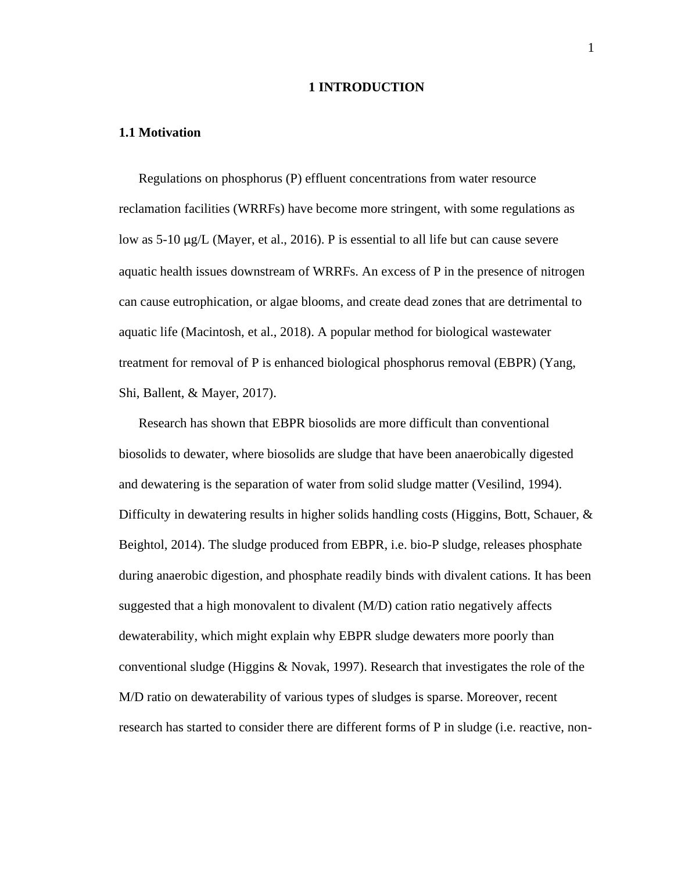#### **1 INTRODUCTION**

#### <span id="page-10-1"></span><span id="page-10-0"></span>**1.1 Motivation**

Regulations on phosphorus (P) effluent concentrations from water resource reclamation facilities (WRRFs) have become more stringent, with some regulations as low as 5-10 μg/L (Mayer, et al., 2016). P is essential to all life but can cause severe aquatic health issues downstream of WRRFs. An excess of P in the presence of nitrogen can cause eutrophication, or algae blooms, and create dead zones that are detrimental to aquatic life (Macintosh, et al., 2018). A popular method for biological wastewater treatment for removal of P is enhanced biological phosphorus removal (EBPR) (Yang, Shi, Ballent, & Mayer, 2017).

Research has shown that EBPR biosolids are more difficult than conventional biosolids to dewater, where biosolids are sludge that have been anaerobically digested and dewatering is the separation of water from solid sludge matter (Vesilind, 1994). Difficulty in dewatering results in higher solids handling costs (Higgins, Bott, Schauer,  $\&$ Beightol, 2014). The sludge produced from EBPR, i.e. bio-P sludge, releases phosphate during anaerobic digestion, and phosphate readily binds with divalent cations. It has been suggested that a high monovalent to divalent (M/D) cation ratio negatively affects dewaterability, which might explain why EBPR sludge dewaters more poorly than conventional sludge (Higgins & Novak, 1997). Research that investigates the role of the M/D ratio on dewaterability of various types of sludges is sparse. Moreover, recent research has started to consider there are different forms of P in sludge (i.e. reactive, non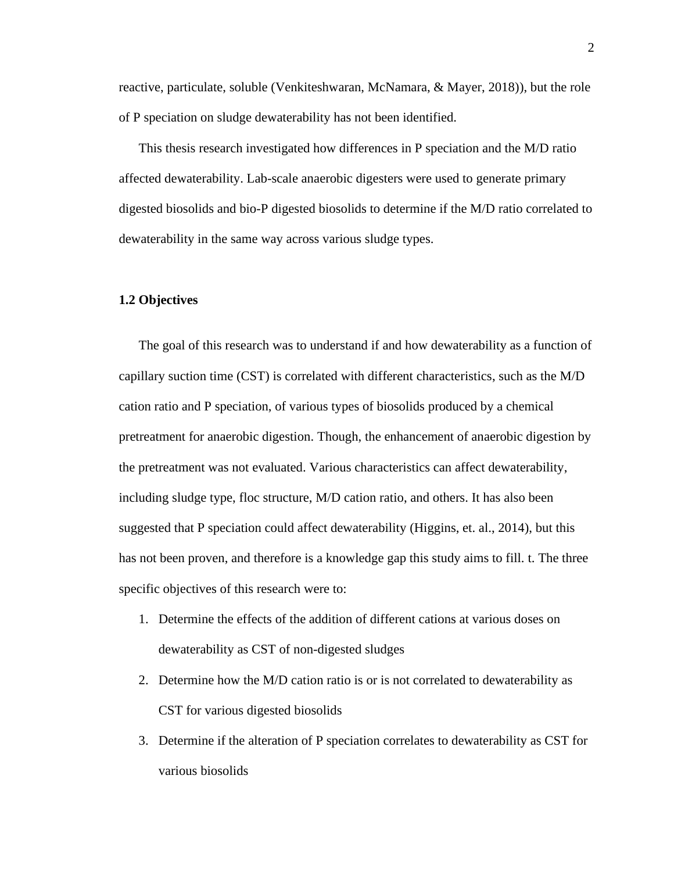reactive, particulate, soluble (Venkiteshwaran, McNamara, & Mayer, 2018)), but the role of P speciation on sludge dewaterability has not been identified.

This thesis research investigated how differences in P speciation and the M/D ratio affected dewaterability. Lab-scale anaerobic digesters were used to generate primary digested biosolids and bio-P digested biosolids to determine if the M/D ratio correlated to dewaterability in the same way across various sludge types.

#### <span id="page-11-0"></span>**1.2 Objectives**

The goal of this research was to understand if and how dewaterability as a function of capillary suction time (CST) is correlated with different characteristics, such as the M/D cation ratio and P speciation, of various types of biosolids produced by a chemical pretreatment for anaerobic digestion. Though, the enhancement of anaerobic digestion by the pretreatment was not evaluated. Various characteristics can affect dewaterability, including sludge type, floc structure, M/D cation ratio, and others. It has also been suggested that P speciation could affect dewaterability (Higgins, et. al., 2014), but this has not been proven, and therefore is a knowledge gap this study aims to fill. t. The three specific objectives of this research were to:

- 1. Determine the effects of the addition of different cations at various doses on dewaterability as CST of non-digested sludges
- 2. Determine how the M/D cation ratio is or is not correlated to dewaterability as CST for various digested biosolids
- 3. Determine if the alteration of P speciation correlates to dewaterability as CST for various biosolids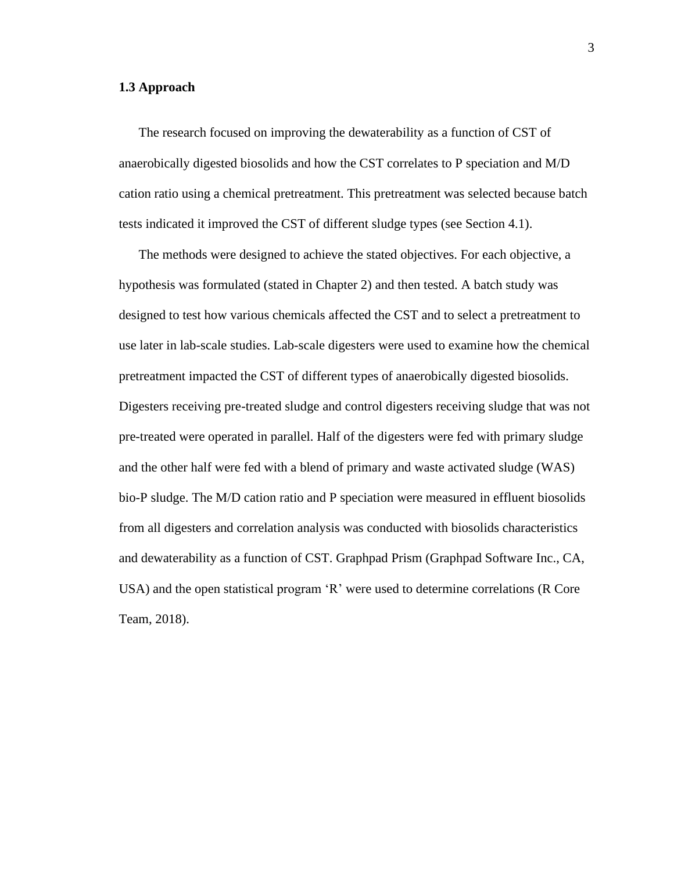## <span id="page-12-0"></span>**1.3 Approach**

The research focused on improving the dewaterability as a function of CST of anaerobically digested biosolids and how the CST correlates to P speciation and M/D cation ratio using a chemical pretreatment. This pretreatment was selected because batch tests indicated it improved the CST of different sludge types (see Section 4.1).

The methods were designed to achieve the stated objectives. For each objective, a hypothesis was formulated (stated in Chapter 2) and then tested. A batch study was designed to test how various chemicals affected the CST and to select a pretreatment to use later in lab-scale studies. Lab-scale digesters were used to examine how the chemical pretreatment impacted the CST of different types of anaerobically digested biosolids. Digesters receiving pre-treated sludge and control digesters receiving sludge that was not pre-treated were operated in parallel. Half of the digesters were fed with primary sludge and the other half were fed with a blend of primary and waste activated sludge (WAS) bio-P sludge. The M/D cation ratio and P speciation were measured in effluent biosolids from all digesters and correlation analysis was conducted with biosolids characteristics and dewaterability as a function of CST. Graphpad Prism (Graphpad Software Inc., CA, USA) and the open statistical program 'R' were used to determine correlations (R Core Team, 2018).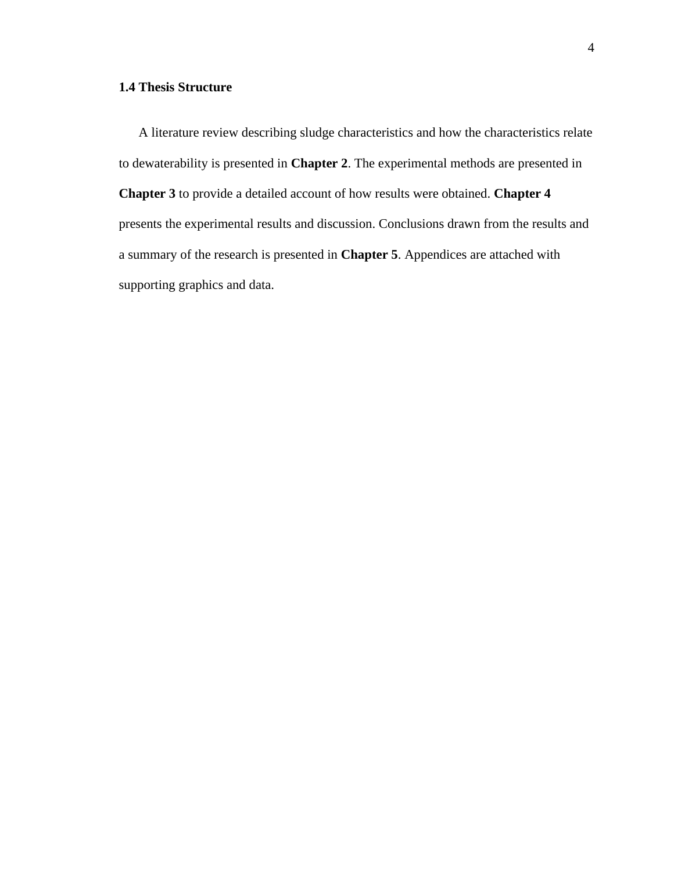## <span id="page-13-0"></span>**1.4 Thesis Structure**

A literature review describing sludge characteristics and how the characteristics relate to dewaterability is presented in **Chapter 2**. The experimental methods are presented in **Chapter 3** to provide a detailed account of how results were obtained. **Chapter 4** presents the experimental results and discussion. Conclusions drawn from the results and a summary of the research is presented in **Chapter 5**. Appendices are attached with supporting graphics and data.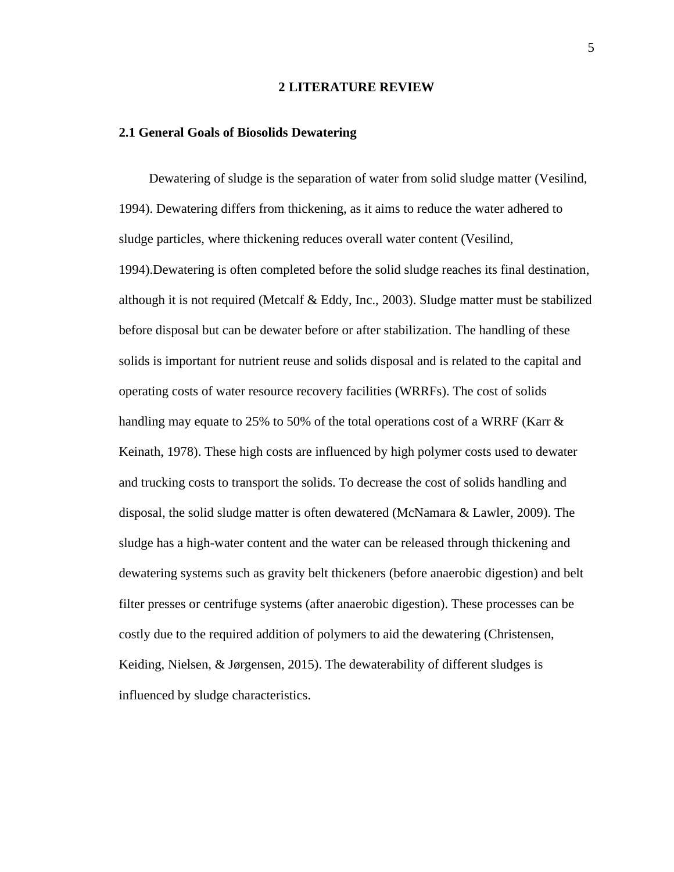#### **2 LITERATURE REVIEW**

#### <span id="page-14-1"></span><span id="page-14-0"></span>**2.1 General Goals of Biosolids Dewatering**

Dewatering of sludge is the separation of water from solid sludge matter (Vesilind, 1994). Dewatering differs from thickening, as it aims to reduce the water adhered to sludge particles, where thickening reduces overall water content (Vesilind, 1994).Dewatering is often completed before the solid sludge reaches its final destination, although it is not required (Metcalf & Eddy, Inc., 2003). Sludge matter must be stabilized before disposal but can be dewater before or after stabilization. The handling of these solids is important for nutrient reuse and solids disposal and is related to the capital and operating costs of water resource recovery facilities (WRRFs). The cost of solids handling may equate to 25% to 50% of the total operations cost of a WRRF (Karr & Keinath, 1978). These high costs are influenced by high polymer costs used to dewater and trucking costs to transport the solids. To decrease the cost of solids handling and disposal, the solid sludge matter is often dewatered (McNamara & Lawler, 2009). The sludge has a high-water content and the water can be released through thickening and dewatering systems such as gravity belt thickeners (before anaerobic digestion) and belt filter presses or centrifuge systems (after anaerobic digestion). These processes can be costly due to the required addition of polymers to aid the dewatering (Christensen, Keiding, Nielsen, & Jørgensen, 2015). The dewaterability of different sludges is influenced by sludge characteristics.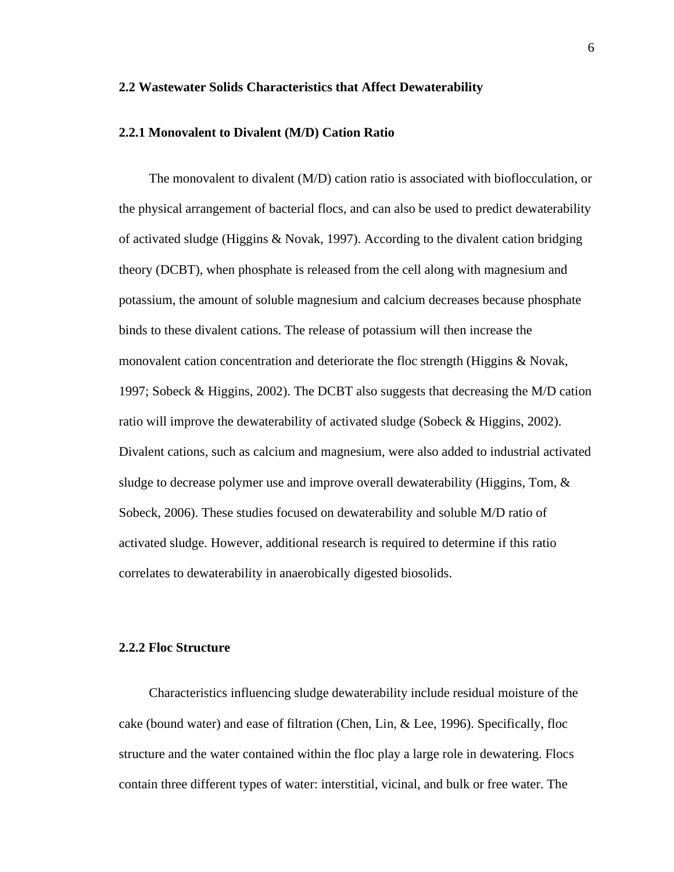#### <span id="page-15-0"></span>**2.2 Wastewater Solids Characteristics that Affect Dewaterability**

#### <span id="page-15-1"></span>**2.2.1 Monovalent to Divalent (M/D) Cation Ratio**

The monovalent to divalent (M/D) cation ratio is associated with bioflocculation, or the physical arrangement of bacterial flocs, and can also be used to predict dewaterability of activated sludge (Higgins & Novak, 1997). According to the divalent cation bridging theory (DCBT), when phosphate is released from the cell along with magnesium and potassium, the amount of soluble magnesium and calcium decreases because phosphate binds to these divalent cations. The release of potassium will then increase the monovalent cation concentration and deteriorate the floc strength (Higgins & Novak, 1997; Sobeck & Higgins, 2002). The DCBT also suggests that decreasing the M/D cation ratio will improve the dewaterability of activated sludge (Sobeck & Higgins, 2002). Divalent cations, such as calcium and magnesium, were also added to industrial activated sludge to decrease polymer use and improve overall dewaterability (Higgins, Tom, & Sobeck, 2006). These studies focused on dewaterability and soluble M/D ratio of activated sludge. However, additional research is required to determine if this ratio correlates to dewaterability in anaerobically digested biosolids.

#### <span id="page-15-2"></span>**2.2.2 Floc Structure**

Characteristics influencing sludge dewaterability include residual moisture of the cake (bound water) and ease of filtration (Chen, Lin, & Lee, 1996). Specifically, floc structure and the water contained within the floc play a large role in dewatering. Flocs contain three different types of water: interstitial, vicinal, and bulk or free water. The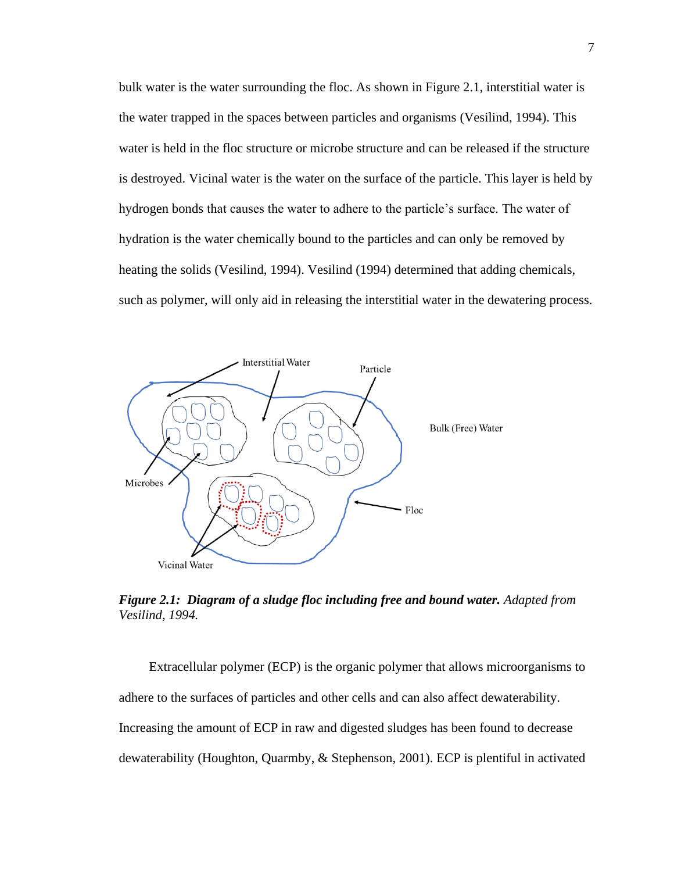bulk water is the water surrounding the floc. As shown in Figure 2.1, interstitial water is the water trapped in the spaces between particles and organisms (Vesilind, 1994). This water is held in the floc structure or microbe structure and can be released if the structure is destroyed. Vicinal water is the water on the surface of the particle. This layer is held by hydrogen bonds that causes the water to adhere to the particle's surface. The water of hydration is the water chemically bound to the particles and can only be removed by heating the solids (Vesilind, 1994). Vesilind (1994) determined that adding chemicals, such as polymer, will only aid in releasing the interstitial water in the dewatering process.



<span id="page-16-0"></span>*Figure 2.1: Diagram of a sludge floc including free and bound water. Adapted from Vesilind, 1994.*

Extracellular polymer (ECP) is the organic polymer that allows microorganisms to adhere to the surfaces of particles and other cells and can also affect dewaterability. Increasing the amount of ECP in raw and digested sludges has been found to decrease dewaterability (Houghton, Quarmby, & Stephenson, 2001). ECP is plentiful in activated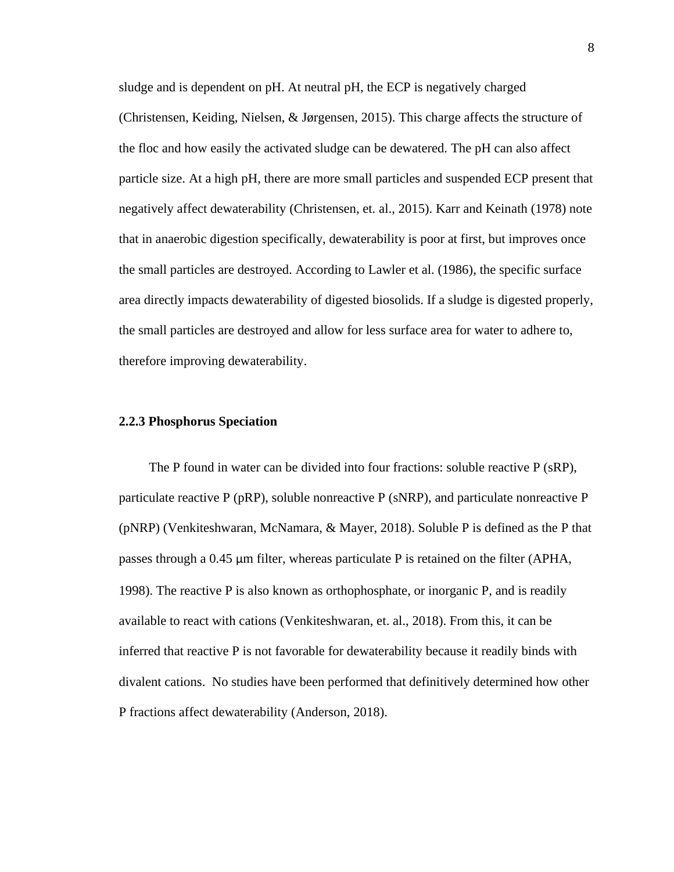sludge and is dependent on pH. At neutral pH, the ECP is negatively charged (Christensen, Keiding, Nielsen, & Jørgensen, 2015). This charge affects the structure of the floc and how easily the activated sludge can be dewatered. The pH can also affect particle size. At a high pH, there are more small particles and suspended ECP present that negatively affect dewaterability (Christensen, et. al., 2015). Karr and Keinath (1978) note that in anaerobic digestion specifically, dewaterability is poor at first, but improves once the small particles are destroyed. According to Lawler et al. (1986), the specific surface area directly impacts dewaterability of digested biosolids. If a sludge is digested properly, the small particles are destroyed and allow for less surface area for water to adhere to, therefore improving dewaterability.

#### <span id="page-17-0"></span>**2.2.3 Phosphorus Speciation**

The P found in water can be divided into four fractions: soluble reactive P (sRP), particulate reactive P (pRP), soluble nonreactive P (sNRP), and particulate nonreactive P (pNRP) (Venkiteshwaran, McNamara, & Mayer, 2018). Soluble P is defined as the P that passes through a 0.45 μm filter, whereas particulate P is retained on the filter (APHA, 1998). The reactive P is also known as orthophosphate, or inorganic P, and is readily available to react with cations (Venkiteshwaran, et. al., 2018). From this, it can be inferred that reactive P is not favorable for dewaterability because it readily binds with divalent cations. No studies have been performed that definitively determined how other P fractions affect dewaterability (Anderson, 2018).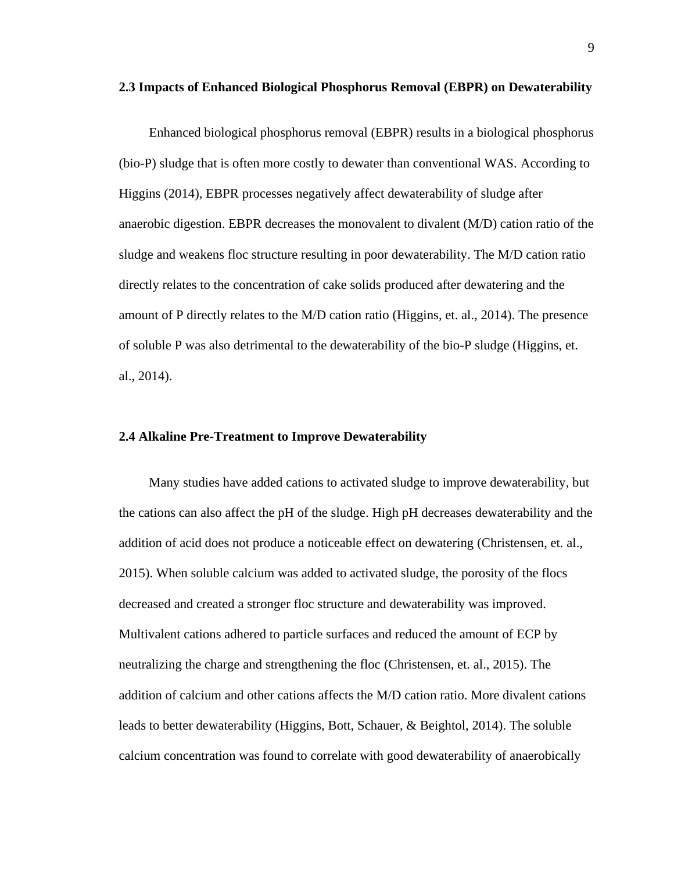#### <span id="page-18-0"></span>**2.3 Impacts of Enhanced Biological Phosphorus Removal (EBPR) on Dewaterability**

Enhanced biological phosphorus removal (EBPR) results in a biological phosphorus (bio-P) sludge that is often more costly to dewater than conventional WAS. According to Higgins (2014), EBPR processes negatively affect dewaterability of sludge after anaerobic digestion. EBPR decreases the monovalent to divalent (M/D) cation ratio of the sludge and weakens floc structure resulting in poor dewaterability. The M/D cation ratio directly relates to the concentration of cake solids produced after dewatering and the amount of P directly relates to the M/D cation ratio (Higgins, et. al., 2014). The presence of soluble P was also detrimental to the dewaterability of the bio-P sludge (Higgins, et. al., 2014).

### <span id="page-18-1"></span>**2.4 Alkaline Pre-Treatment to Improve Dewaterability**

Many studies have added cations to activated sludge to improve dewaterability, but the cations can also affect the pH of the sludge. High pH decreases dewaterability and the addition of acid does not produce a noticeable effect on dewatering (Christensen, et. al., 2015). When soluble calcium was added to activated sludge, the porosity of the flocs decreased and created a stronger floc structure and dewaterability was improved. Multivalent cations adhered to particle surfaces and reduced the amount of ECP by neutralizing the charge and strengthening the floc (Christensen, et. al., 2015). The addition of calcium and other cations affects the M/D cation ratio. More divalent cations leads to better dewaterability (Higgins, Bott, Schauer, & Beightol, 2014). The soluble calcium concentration was found to correlate with good dewaterability of anaerobically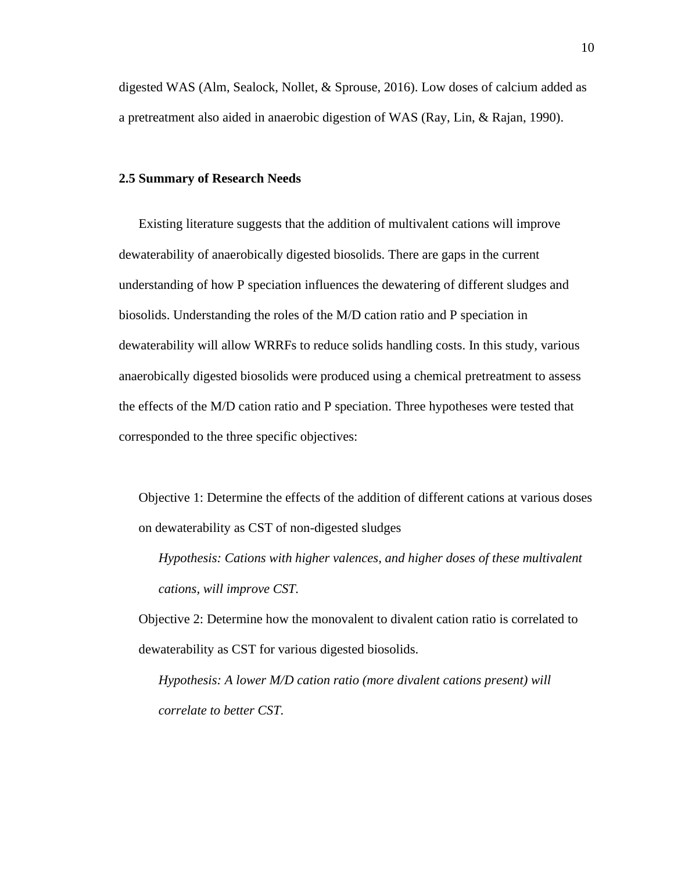digested WAS (Alm, Sealock, Nollet, & Sprouse, 2016). Low doses of calcium added as a pretreatment also aided in anaerobic digestion of WAS (Ray, Lin, & Rajan, 1990).

#### <span id="page-19-0"></span>**2.5 Summary of Research Needs**

Existing literature suggests that the addition of multivalent cations will improve dewaterability of anaerobically digested biosolids. There are gaps in the current understanding of how P speciation influences the dewatering of different sludges and biosolids. Understanding the roles of the M/D cation ratio and P speciation in dewaterability will allow WRRFs to reduce solids handling costs. In this study, various anaerobically digested biosolids were produced using a chemical pretreatment to assess the effects of the M/D cation ratio and P speciation. Three hypotheses were tested that corresponded to the three specific objectives:

Objective 1: Determine the effects of the addition of different cations at various doses on dewaterability as CST of non-digested sludges

*Hypothesis: Cations with higher valences, and higher doses of these multivalent cations, will improve CST.*

Objective 2: Determine how the monovalent to divalent cation ratio is correlated to dewaterability as CST for various digested biosolids.

*Hypothesis: A lower M/D cation ratio (more divalent cations present) will correlate to better CST.*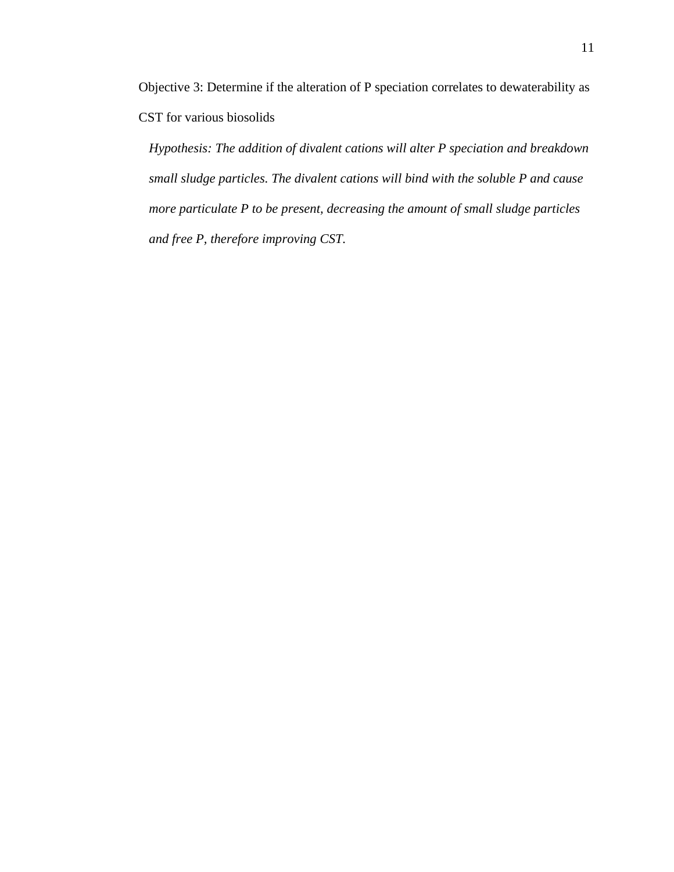Objective 3: Determine if the alteration of P speciation correlates to dewaterability as CST for various biosolids

*Hypothesis: The addition of divalent cations will alter P speciation and breakdown small sludge particles. The divalent cations will bind with the soluble P and cause more particulate P to be present, decreasing the amount of small sludge particles and free P, therefore improving CST.*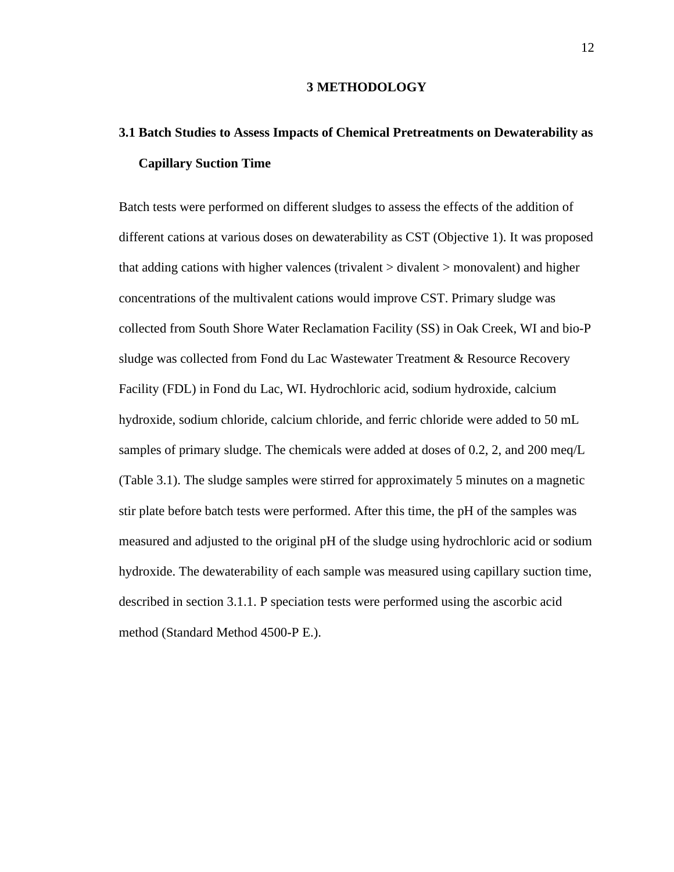#### **3 METHODOLOGY**

# <span id="page-21-1"></span><span id="page-21-0"></span>**3.1 Batch Studies to Assess Impacts of Chemical Pretreatments on Dewaterability as Capillary Suction Time**

Batch tests were performed on different sludges to assess the effects of the addition of different cations at various doses on dewaterability as CST (Objective 1). It was proposed that adding cations with higher valences (trivalent > divalent > monovalent) and higher concentrations of the multivalent cations would improve CST. Primary sludge was collected from South Shore Water Reclamation Facility (SS) in Oak Creek, WI and bio-P sludge was collected from Fond du Lac Wastewater Treatment & Resource Recovery Facility (FDL) in Fond du Lac, WI. Hydrochloric acid, sodium hydroxide, calcium hydroxide, sodium chloride, calcium chloride, and ferric chloride were added to 50 mL samples of primary sludge. The chemicals were added at doses of 0.2, 2, and 200 meq/L (Table 3.1). The sludge samples were stirred for approximately 5 minutes on a magnetic stir plate before batch tests were performed. After this time, the pH of the samples was measured and adjusted to the original pH of the sludge using hydrochloric acid or sodium hydroxide. The dewaterability of each sample was measured using capillary suction time, described in section 3.1.1. P speciation tests were performed using the ascorbic acid method (Standard Method 4500-P E.).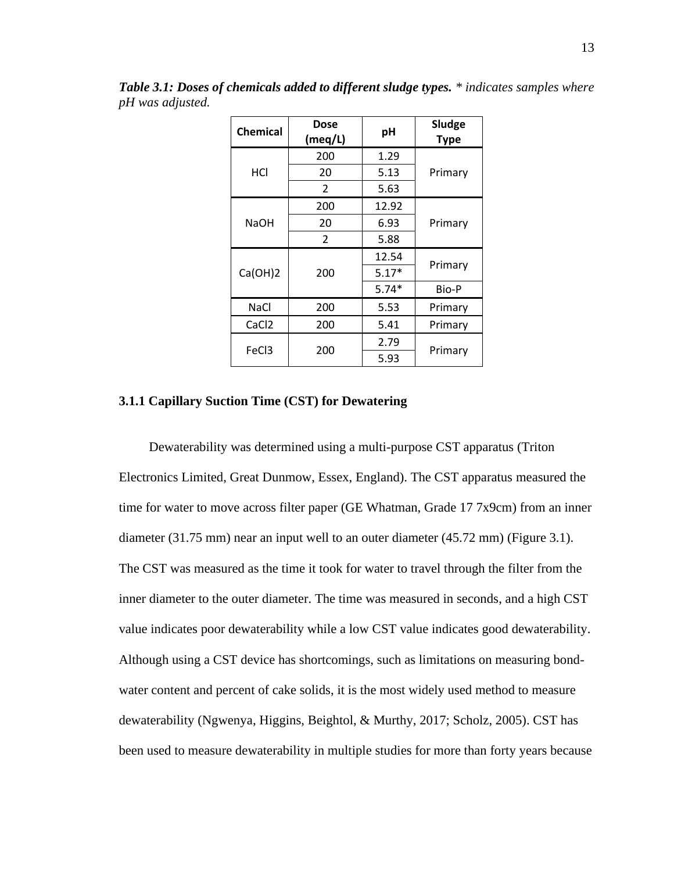| <b>Chemical</b>   | Dose<br>(meq/L) | pH      | Sludge<br><b>Type</b> |  |
|-------------------|-----------------|---------|-----------------------|--|
|                   | 200             | 1.29    |                       |  |
| HCI               | 20              | 5.13    | Primary               |  |
|                   | 2               | 5.63    |                       |  |
|                   | 200             | 12.92   |                       |  |
| <b>NaOH</b>       | 20              | 6.93    | Primary               |  |
|                   | $\overline{2}$  | 5.88    |                       |  |
|                   |                 | 12.54   |                       |  |
| Ca(OH)2           | 200             | $5.17*$ | Primary               |  |
|                   |                 | $5.74*$ |                       |  |
| <b>NaCl</b>       | 200             | 5.53    | Primary               |  |
| CaCl <sub>2</sub> | 200             | 5.41    | Primary               |  |
|                   |                 | 2.79    |                       |  |
| FeC <sub>3</sub>  | 200             | 5.93    | Primary               |  |

*Table 3.1: Doses of chemicals added to different sludge types. \* indicates samples where pH was adjusted.*

#### <span id="page-22-0"></span>**3.1.1 Capillary Suction Time (CST) for Dewatering**

Dewaterability was determined using a multi-purpose CST apparatus (Triton Electronics Limited, Great Dunmow, Essex, England). The CST apparatus measured the time for water to move across filter paper (GE Whatman, Grade 17 7x9cm) from an inner diameter (31.75 mm) near an input well to an outer diameter (45.72 mm) (Figure 3.1). The CST was measured as the time it took for water to travel through the filter from the inner diameter to the outer diameter. The time was measured in seconds, and a high CST value indicates poor dewaterability while a low CST value indicates good dewaterability. Although using a CST device has shortcomings, such as limitations on measuring bondwater content and percent of cake solids, it is the most widely used method to measure dewaterability (Ngwenya, Higgins, Beightol, & Murthy, 2017; Scholz, 2005). CST has been used to measure dewaterability in multiple studies for more than forty years because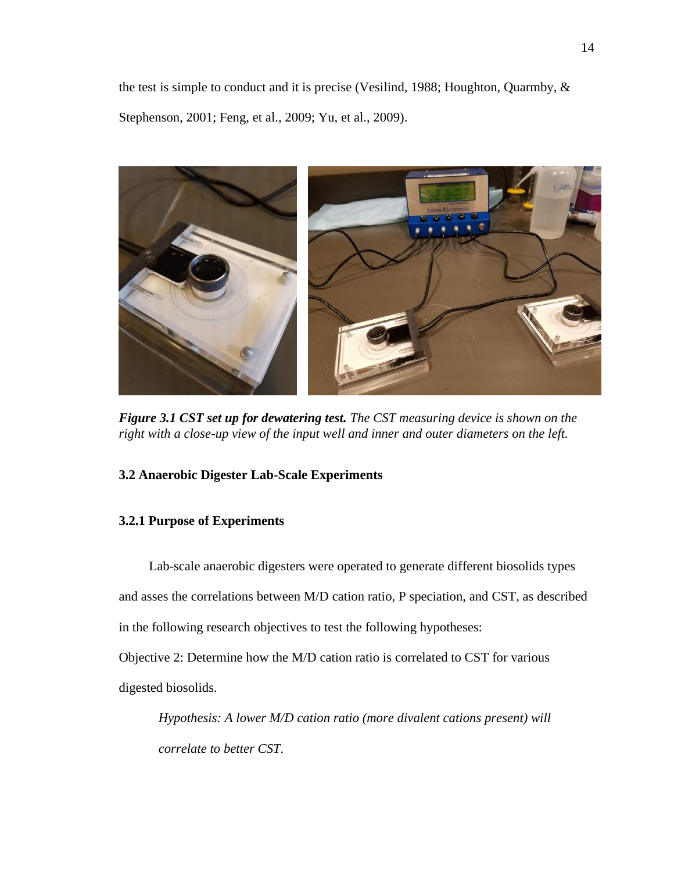the test is simple to conduct and it is precise (Vesilind, 1988; Houghton, Quarmby, & Stephenson, 2001; Feng, et al., 2009; Yu, et al., 2009).



*Figure 3.1 CST set up for dewatering test. The CST measuring device is shown on the right with a close-up view of the input well and inner and outer diameters on the left.*

## <span id="page-23-2"></span><span id="page-23-0"></span>**3.2 Anaerobic Digester Lab-Scale Experiments**

## <span id="page-23-1"></span>**3.2.1 Purpose of Experiments**

Lab-scale anaerobic digesters were operated to generate different biosolids types and asses the correlations between M/D cation ratio, P speciation, and CST, as described in the following research objectives to test the following hypotheses:

Objective 2: Determine how the M/D cation ratio is correlated to CST for various

digested biosolids.

*Hypothesis: A lower M/D cation ratio (more divalent cations present) will correlate to better CST.*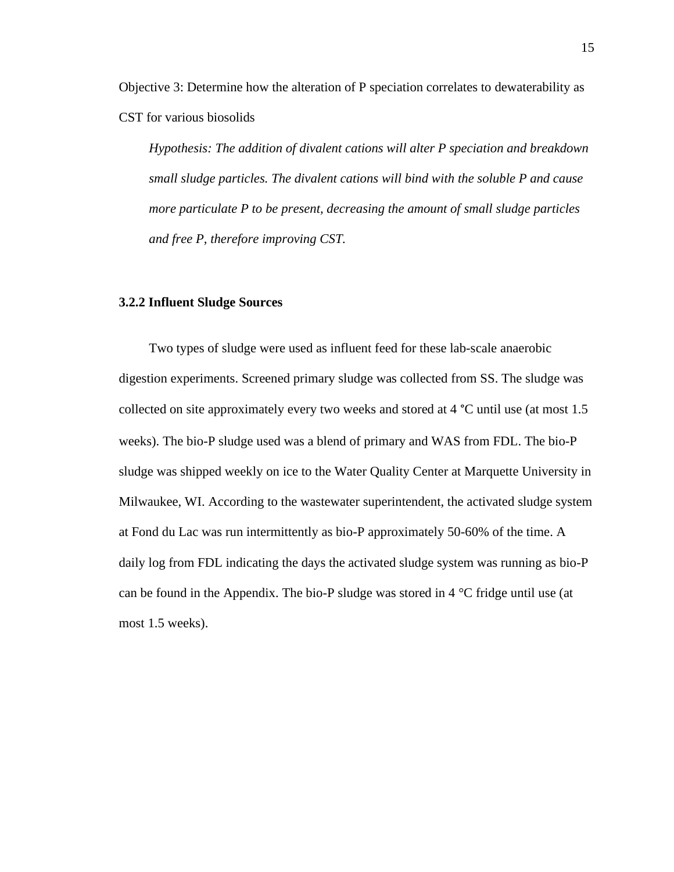Objective 3: Determine how the alteration of P speciation correlates to dewaterability as CST for various biosolids

*Hypothesis: The addition of divalent cations will alter P speciation and breakdown small sludge particles. The divalent cations will bind with the soluble P and cause more particulate P to be present, decreasing the amount of small sludge particles and free P, therefore improving CST.* 

#### <span id="page-24-0"></span>**3.2.2 Influent Sludge Sources**

Two types of sludge were used as influent feed for these lab-scale anaerobic digestion experiments. Screened primary sludge was collected from SS. The sludge was collected on site approximately every two weeks and stored at 4 °C until use (at most 1.5 weeks). The bio-P sludge used was a blend of primary and WAS from FDL. The bio-P sludge was shipped weekly on ice to the Water Quality Center at Marquette University in Milwaukee, WI. According to the wastewater superintendent, the activated sludge system at Fond du Lac was run intermittently as bio-P approximately 50-60% of the time. A daily log from FDL indicating the days the activated sludge system was running as bio-P can be found in the Appendix. The bio-P sludge was stored in 4 °C fridge until use (at most 1.5 weeks).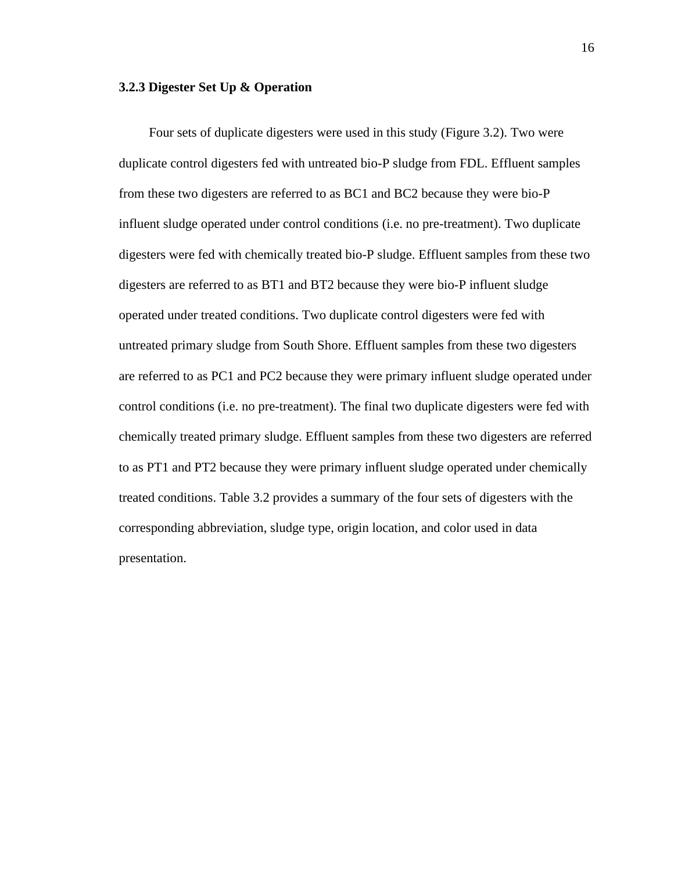#### <span id="page-25-0"></span>**3.2.3 Digester Set Up & Operation**

Four sets of duplicate digesters were used in this study (Figure 3.2). Two were duplicate control digesters fed with untreated bio-P sludge from FDL. Effluent samples from these two digesters are referred to as BC1 and BC2 because they were bio-P influent sludge operated under control conditions (i.e. no pre-treatment). Two duplicate digesters were fed with chemically treated bio-P sludge. Effluent samples from these two digesters are referred to as BT1 and BT2 because they were bio-P influent sludge operated under treated conditions. Two duplicate control digesters were fed with untreated primary sludge from South Shore. Effluent samples from these two digesters are referred to as PC1 and PC2 because they were primary influent sludge operated under control conditions (i.e. no pre-treatment). The final two duplicate digesters were fed with chemically treated primary sludge. Effluent samples from these two digesters are referred to as PT1 and PT2 because they were primary influent sludge operated under chemically treated conditions. Table 3.2 provides a summary of the four sets of digesters with the corresponding abbreviation, sludge type, origin location, and color used in data presentation.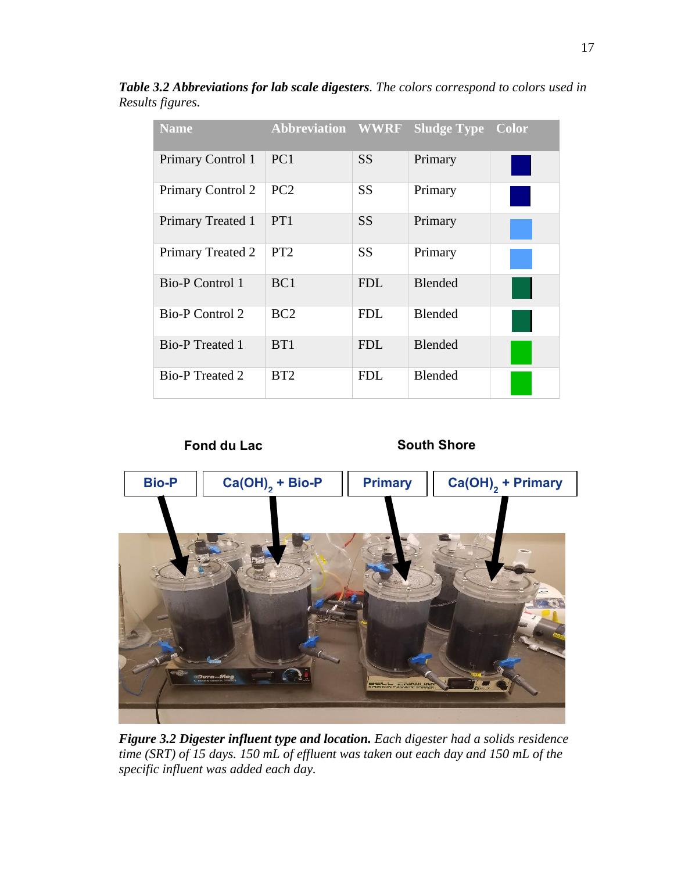| <b>Name</b>              | <b>Abbreviation WWRF</b> |            | <b>Sludge Type</b> | <b>Color</b> |
|--------------------------|--------------------------|------------|--------------------|--------------|
| <b>Primary Control 1</b> | PC <sub>1</sub>          | <b>SS</b>  | Primary            |              |
| Primary Control 2        | PC2                      | <b>SS</b>  | Primary            |              |
| <b>Primary Treated 1</b> | PT1                      | <b>SS</b>  | Primary            |              |
| Primary Treated 2        | PT <sub>2</sub>          | <b>SS</b>  | Primary            |              |
| <b>Bio-P Control 1</b>   | BC <sub>1</sub>          | <b>FDL</b> | <b>Blended</b>     |              |
| <b>Bio-P Control 2</b>   | BC2                      | <b>FDL</b> | <b>Blended</b>     |              |
| <b>Bio-P</b> Treated 1   | B <sub>T1</sub>          | <b>FDL</b> | <b>Blended</b>     |              |
| <b>Bio-P</b> Treated 2   | BT <sub>2</sub>          | <b>FDL</b> | <b>Blended</b>     |              |

*Table 3.2 Abbreviations for lab scale digesters. The colors correspond to colors used in Results figures.*

<span id="page-26-0"></span>

**Fond du Lac South Shore**



*Figure 3.2 Digester influent type and location. Each digester had a solids residence time (SRT) of 15 days. 150 mL of effluent was taken out each day and 150 mL of the specific influent was added each day.*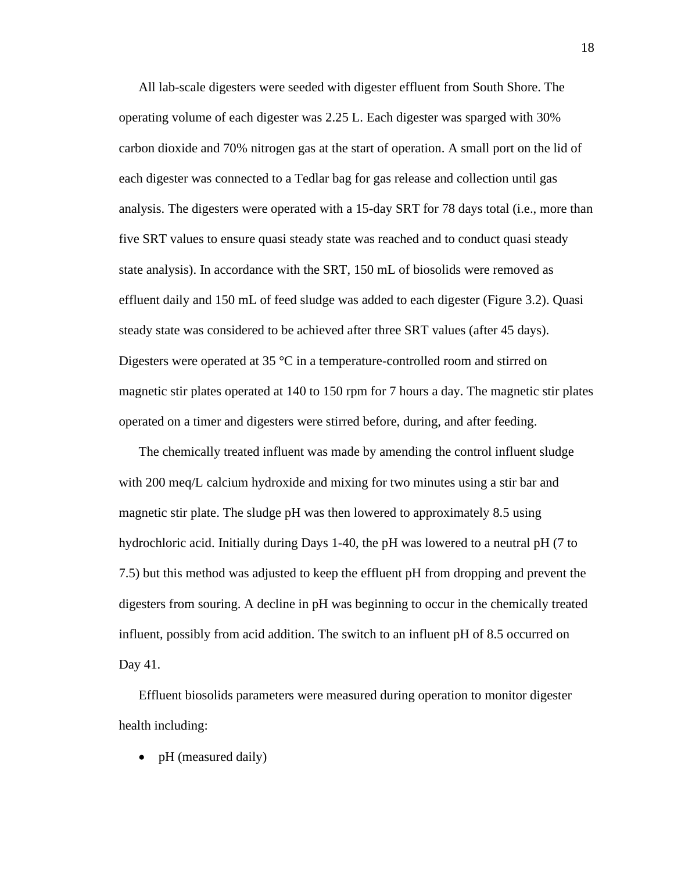All lab-scale digesters were seeded with digester effluent from South Shore. The operating volume of each digester was 2.25 L. Each digester was sparged with 30% carbon dioxide and 70% nitrogen gas at the start of operation. A small port on the lid of each digester was connected to a Tedlar bag for gas release and collection until gas analysis. The digesters were operated with a 15-day SRT for 78 days total (i.e., more than five SRT values to ensure quasi steady state was reached and to conduct quasi steady state analysis). In accordance with the SRT, 150 mL of biosolids were removed as effluent daily and 150 mL of feed sludge was added to each digester (Figure 3.2). Quasi steady state was considered to be achieved after three SRT values (after 45 days). Digesters were operated at 35  $\degree$ C in a temperature-controlled room and stirred on magnetic stir plates operated at 140 to 150 rpm for 7 hours a day. The magnetic stir plates operated on a timer and digesters were stirred before, during, and after feeding.

The chemically treated influent was made by amending the control influent sludge with 200 meq/L calcium hydroxide and mixing for two minutes using a stir bar and magnetic stir plate. The sludge pH was then lowered to approximately 8.5 using hydrochloric acid. Initially during Days 1-40, the pH was lowered to a neutral pH (7 to 7.5) but this method was adjusted to keep the effluent pH from dropping and prevent the digesters from souring. A decline in pH was beginning to occur in the chemically treated influent, possibly from acid addition. The switch to an influent pH of 8.5 occurred on Day 41.

Effluent biosolids parameters were measured during operation to monitor digester health including:

• pH (measured daily)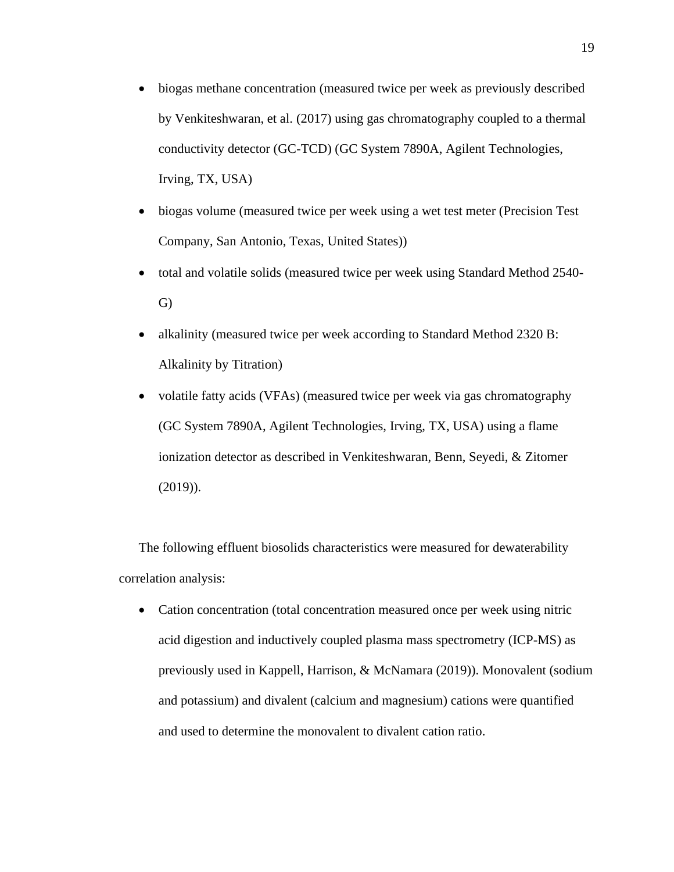- biogas methane concentration (measured twice per week as previously described by Venkiteshwaran, et al. (2017) using gas chromatography coupled to a thermal conductivity detector (GC-TCD) (GC System 7890A, Agilent Technologies, Irving, TX, USA)
- biogas volume (measured twice per week using a wet test meter (Precision Test) Company, San Antonio, Texas, United States))
- total and volatile solids (measured twice per week using Standard Method 2540- G)
- alkalinity (measured twice per week according to Standard Method 2320 B: Alkalinity by Titration)
- volatile fatty acids (VFAs) (measured twice per week via gas chromatography (GC System 7890A, Agilent Technologies, Irving, TX, USA) using a flame ionization detector as described in Venkiteshwaran, Benn, Seyedi, & Zitomer (2019)).

The following effluent biosolids characteristics were measured for dewaterability correlation analysis:

• Cation concentration (total concentration measured once per week using nitric acid digestion and inductively coupled plasma mass spectrometry (ICP-MS) as previously used in Kappell, Harrison, & McNamara (2019)). Monovalent (sodium and potassium) and divalent (calcium and magnesium) cations were quantified and used to determine the monovalent to divalent cation ratio.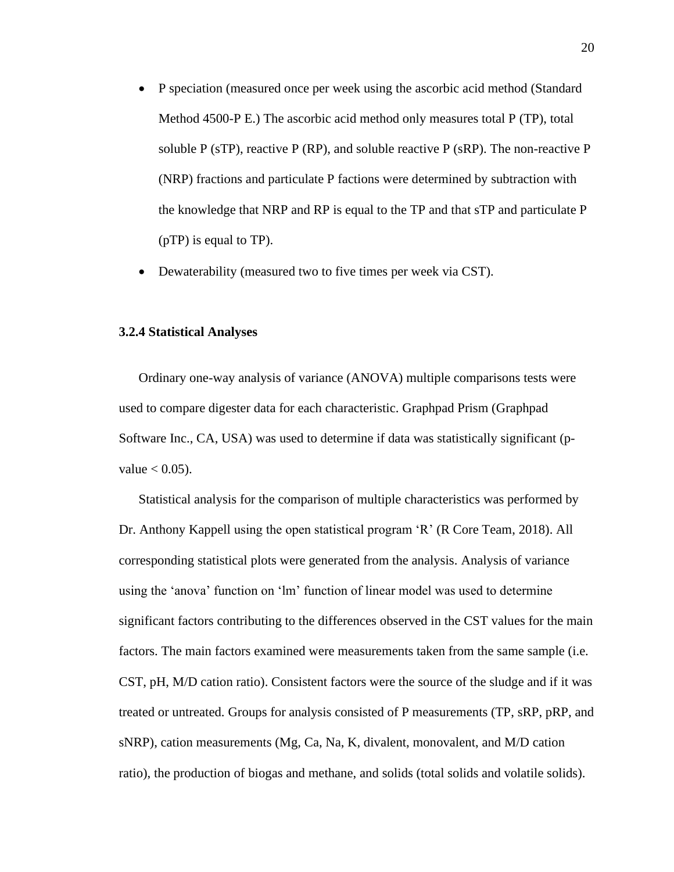- P speciation (measured once per week using the ascorbic acid method (Standard Method 4500-P E.) The ascorbic acid method only measures total P (TP), total soluble P (sTP), reactive P (RP), and soluble reactive P (sRP). The non-reactive P (NRP) fractions and particulate P factions were determined by subtraction with the knowledge that NRP and RP is equal to the TP and that sTP and particulate P (pTP) is equal to TP).
- Dewaterability (measured two to five times per week via CST).

#### <span id="page-29-0"></span>**3.2.4 Statistical Analyses**

Ordinary one-way analysis of variance (ANOVA) multiple comparisons tests were used to compare digester data for each characteristic. Graphpad Prism (Graphpad Software Inc., CA, USA) was used to determine if data was statistically significant (pvalue  $< 0.05$ ).

Statistical analysis for the comparison of multiple characteristics was performed by Dr. Anthony Kappell using the open statistical program 'R' (R Core Team, 2018). All corresponding statistical plots were generated from the analysis. Analysis of variance using the 'anova' function on 'lm' function of linear model was used to determine significant factors contributing to the differences observed in the CST values for the main factors. The main factors examined were measurements taken from the same sample (i.e. CST, pH, M/D cation ratio). Consistent factors were the source of the sludge and if it was treated or untreated. Groups for analysis consisted of P measurements (TP, sRP, pRP, and sNRP), cation measurements (Mg, Ca, Na, K, divalent, monovalent, and M/D cation ratio), the production of biogas and methane, and solids (total solids and volatile solids).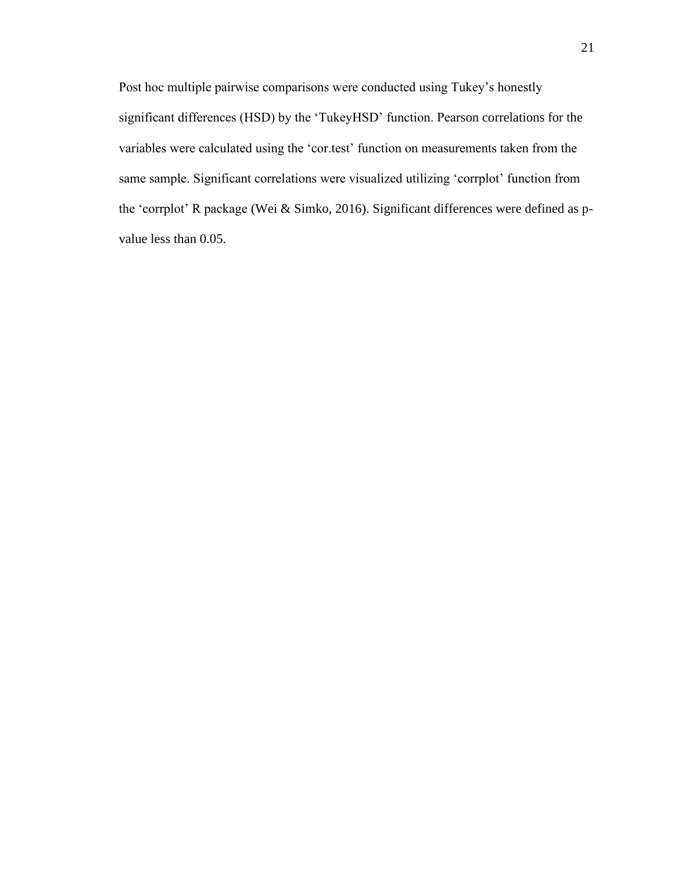Post hoc multiple pairwise comparisons were conducted using Tukey's honestly significant differences (HSD) by the 'TukeyHSD' function. Pearson correlations for the variables were calculated using the 'cor.test' function on measurements taken from the same sample. Significant correlations were visualized utilizing 'corrplot' function from the 'corrplot' R package (Wei & Simko, 2016). Significant differences were defined as pvalue less than 0.05.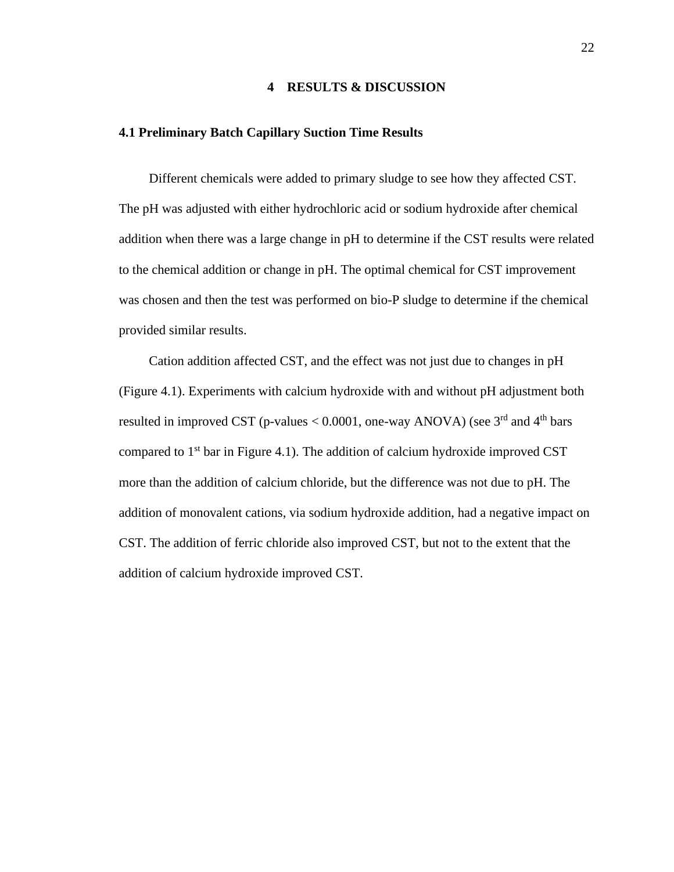#### **4 RESULTS & DISCUSSION**

### <span id="page-31-1"></span><span id="page-31-0"></span>**4.1 Preliminary Batch Capillary Suction Time Results**

Different chemicals were added to primary sludge to see how they affected CST. The pH was adjusted with either hydrochloric acid or sodium hydroxide after chemical addition when there was a large change in pH to determine if the CST results were related to the chemical addition or change in pH. The optimal chemical for CST improvement was chosen and then the test was performed on bio-P sludge to determine if the chemical provided similar results.

Cation addition affected CST, and the effect was not just due to changes in pH (Figure 4.1). Experiments with calcium hydroxide with and without pH adjustment both resulted in improved CST (p-values  $< 0.0001$ , one-way ANOVA) (see 3<sup>rd</sup> and 4<sup>th</sup> bars compared to  $1<sup>st</sup>$  bar in Figure 4.1). The addition of calcium hydroxide improved CST more than the addition of calcium chloride, but the difference was not due to pH. The addition of monovalent cations, via sodium hydroxide addition, had a negative impact on CST. The addition of ferric chloride also improved CST, but not to the extent that the addition of calcium hydroxide improved CST.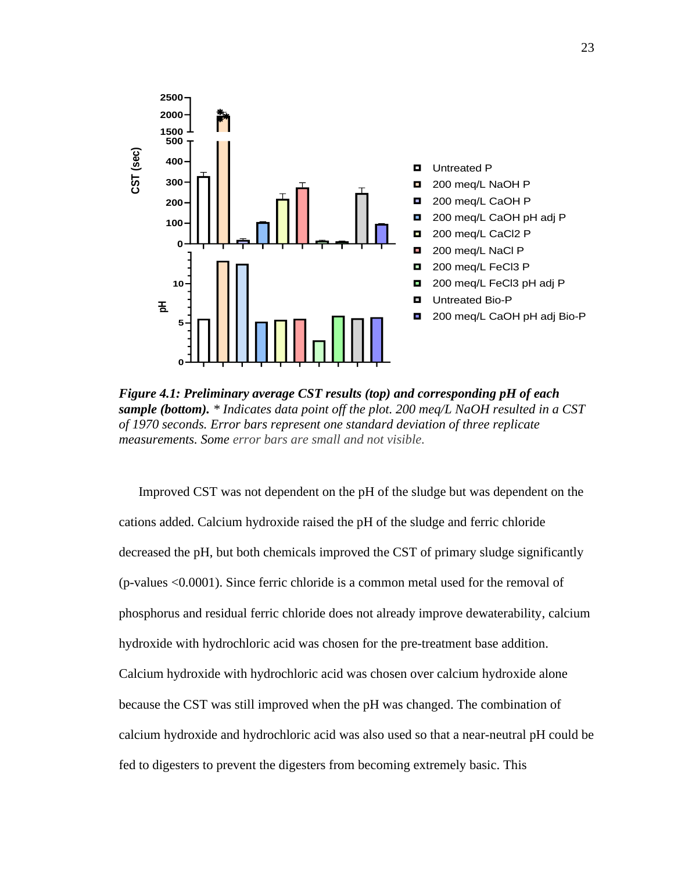

<span id="page-32-0"></span>**Figure 4.1: Preliminary average CST results (top) and corresponding pH of each sample (bottom).** \* Indicates data point off the plot. 200 meq/L NaOH resulted in a of 1970 seconds. Error bars represent one standard deviati *sample (bottom). \* Indicates data point off the plot. 200 meq/L NaOH resulted in a CST of 1970 seconds. Error bars represent one standard deviation of three replicate measurements. Some error bars are small and not visible.*

Improved CST was not dependent on the pH of the sludge but was dependent on the cations added. Calcium hydroxide raised the pH of the sludge and ferric chloride decreased the pH, but both chemicals improved the CST of primary sludge significantly (p-values <0.0001). Since ferric chloride is a common metal used for the removal of phosphorus and residual ferric chloride does not already improve dewaterability, calcium hydroxide with hydrochloric acid was chosen for the pre-treatment base addition. Calcium hydroxide with hydrochloric acid was chosen over calcium hydroxide alone because the CST was still improved when the pH was changed. The combination of calcium hydroxide and hydrochloric acid was also used so that a near-neutral pH could be fed to digesters to prevent the digesters from becoming extremely basic. This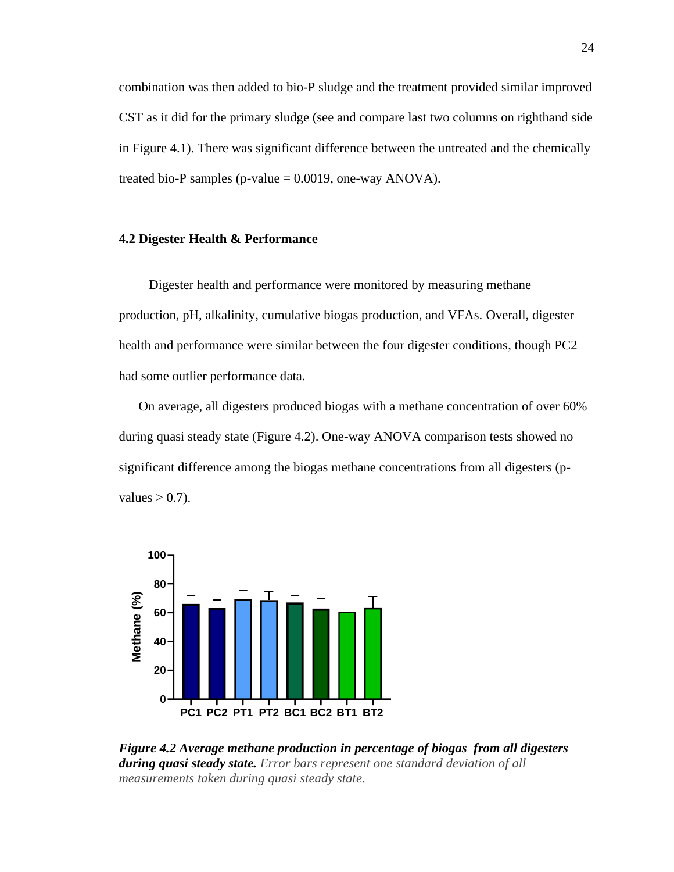combination was then added to bio-P sludge and the treatment provided similar improved CST as it did for the primary sludge (see and compare last two columns on righthand side in Figure 4.1). There was significant difference between the untreated and the chemically treated bio-P samples (p-value  $= 0.0019$ , one-way ANOVA).

#### <span id="page-33-0"></span>**4.2 Digester Health & Performance**

Digester health and performance were monitored by measuring methane production, pH, alkalinity, cumulative biogas production, and VFAs. Overall, digester health and performance were similar between the four digester conditions, though PC2 had some outlier performance data.

On average, all digesters produced biogas with a methane concentration of over 60% during quasi steady state (Figure 4.2). One-way ANOVA comparison tests showed no significant difference among the biogas methane concentrations from all digesters (pvalues  $> 0.7$ ).



<span id="page-33-1"></span>*Figure 4.2 Average methane production in percentage of biogas from all digesters during quasi steady state. Error bars represent one standard deviation of all measurements taken during quasi steady state.*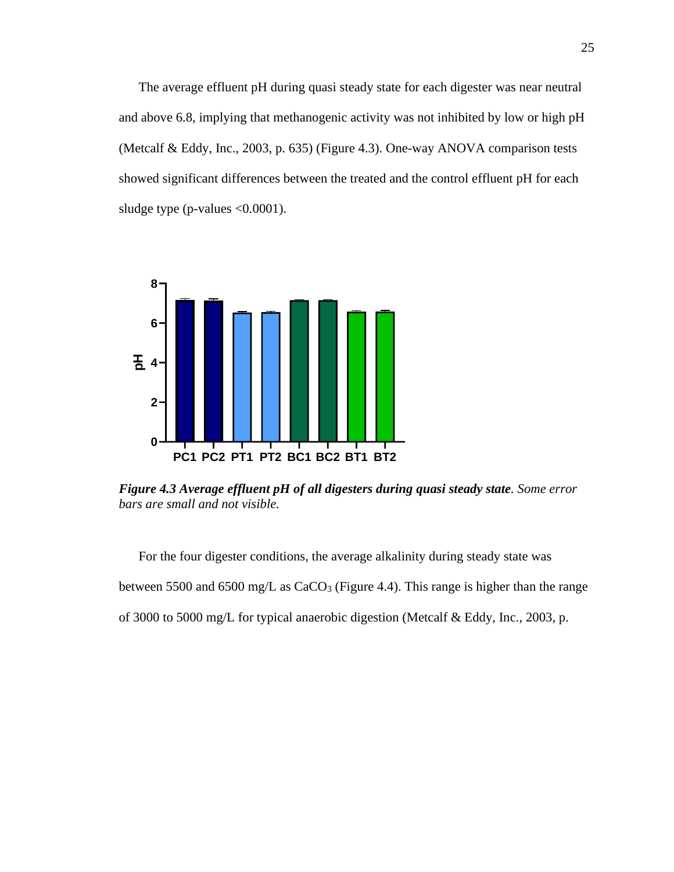The average effluent pH during quasi steady state for each digester was near neutral and above 6.8, implying that methanogenic activity was not inhibited by low or high pH (Metcalf & Eddy, Inc., 2003, p. 635) (Figure 4.3). One-way ANOVA comparison tests showed significant differences between the treated and the control effluent pH for each sludge type (p-values <0.0001).



<span id="page-34-0"></span>*Figure 4.3 Average effluent pH of all digesters during quasi steady state. Some error bars are small and not visible.*

For the four digester conditions, the average alkalinity during steady state was between 5500 and 6500 mg/L as  $CaCO<sub>3</sub>$  (Figure 4.4). This range is higher than the range of 3000 to 5000 mg/L for typical anaerobic digestion (Metcalf & Eddy, Inc., 2003, p.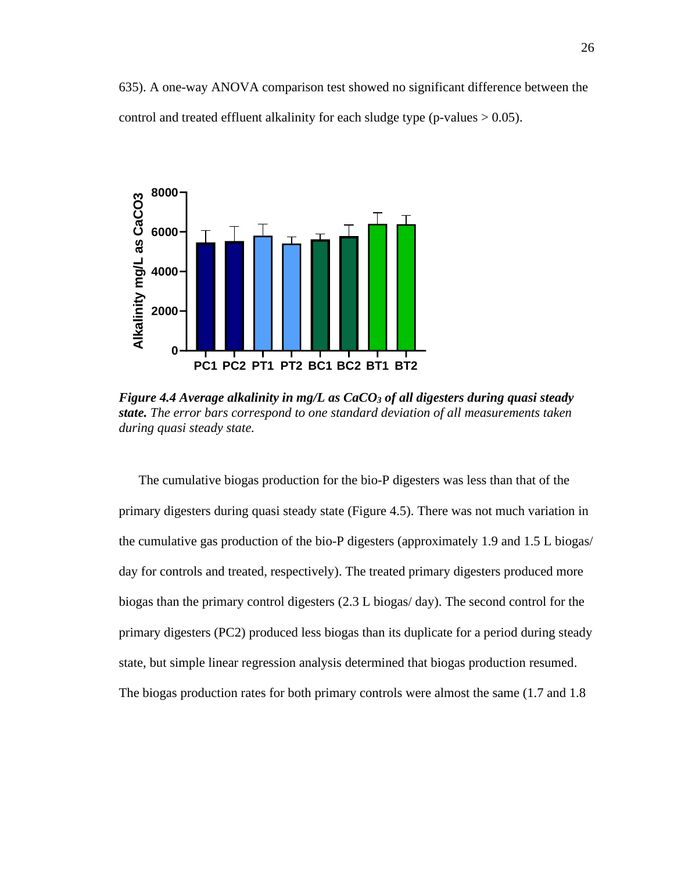635). A one-way ANOVA comparison test showed no significant difference between the control and treated effluent alkalinity for each sludge type (p-values  $> 0.05$ ).



<span id="page-35-0"></span>*Figure 4.4 Average alkalinity in mg/L as CaCO<sup>3</sup> of all digesters during quasi steady state. The error bars correspond to one standard deviation of all measurements taken during quasi steady state.*

The cumulative biogas production for the bio-P digesters was less than that of the primary digesters during quasi steady state (Figure 4.5). There was not much variation in the cumulative gas production of the bio-P digesters (approximately 1.9 and 1.5 L biogas/ day for controls and treated, respectively). The treated primary digesters produced more biogas than the primary control digesters (2.3 L biogas/ day). The second control for the primary digesters (PC2) produced less biogas than its duplicate for a period during steady state, but simple linear regression analysis determined that biogas production resumed. The biogas production rates for both primary controls were almost the same (1.7 and 1.8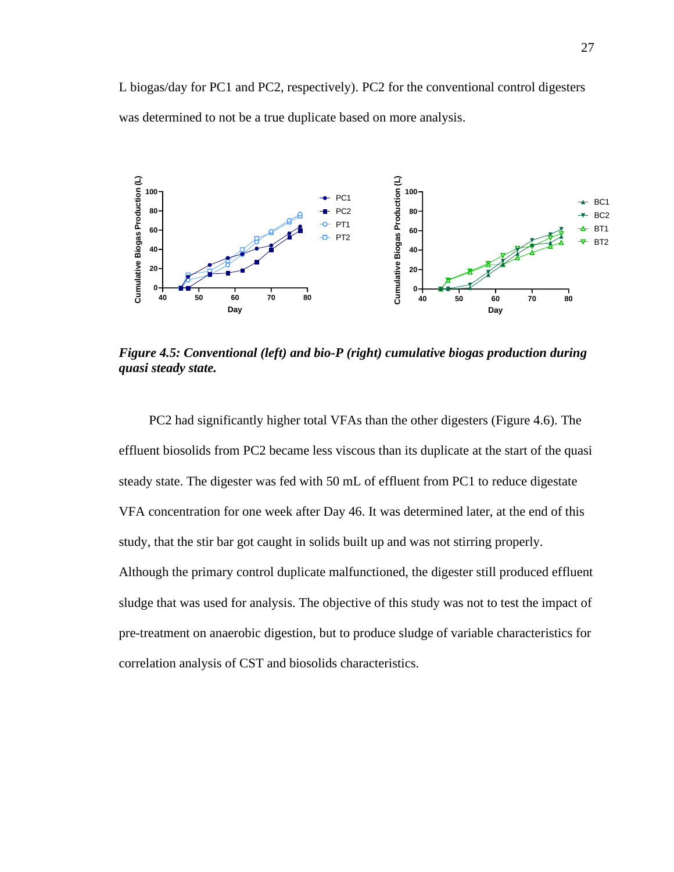L biogas/day for PC1 and PC2, respectively). PC2 for the conventional control digesters was determined to not be a true duplicate based on more analysis.



<span id="page-36-0"></span>*Figure 4.5: Conventional (left) and bio-P (right) cumulative biogas production during quasi steady state.*

PC2 had significantly higher total VFAs than the other digesters (Figure 4.6). The effluent biosolids from PC2 became less viscous than its duplicate at the start of the quasi steady state. The digester was fed with 50 mL of effluent from PC1 to reduce digestate VFA concentration for one week after Day 46. It was determined later, at the end of this study, that the stir bar got caught in solids built up and was not stirring properly. Although the primary control duplicate malfunctioned, the digester still produced effluent sludge that was used for analysis. The objective of this study was not to test the impact of pre-treatment on anaerobic digestion, but to produce sludge of variable characteristics for correlation analysis of CST and biosolids characteristics.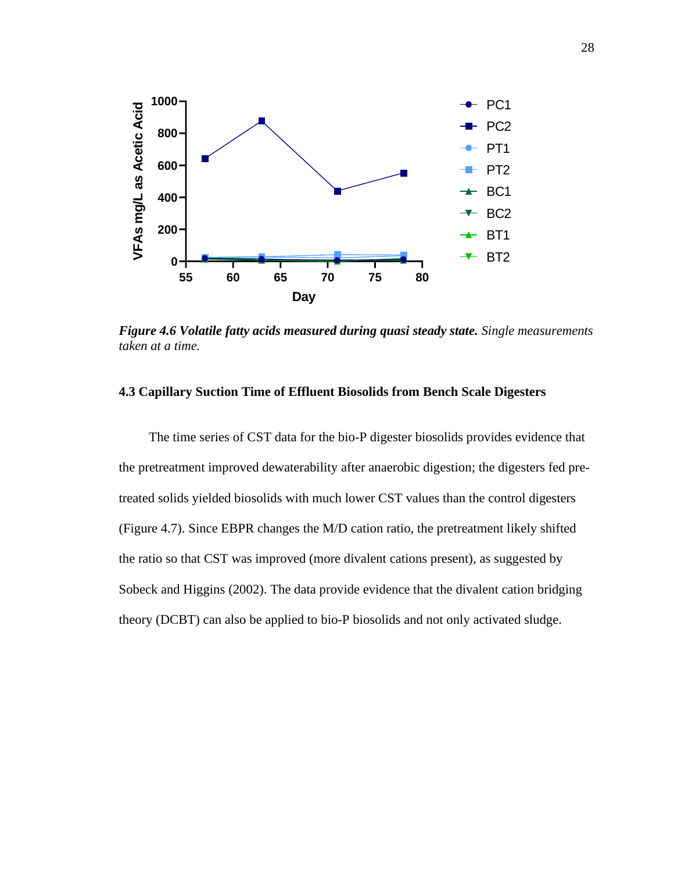

<span id="page-37-1"></span>*Figure 4.6 Volatile fatty acids measured during quasi steady state. Single measurements taken at a time.*

#### <span id="page-37-0"></span>**4.3 Capillary Suction Time of Effluent Biosolids from Bench Scale Digesters**

The time series of CST data for the bio-P digester biosolids provides evidence that the pretreatment improved dewaterability after anaerobic digestion; the digesters fed pretreated solids yielded biosolids with much lower CST values than the control digesters (Figure 4.7). Since EBPR changes the M/D cation ratio, the pretreatment likely shifted the ratio so that CST was improved (more divalent cations present), as suggested by Sobeck and Higgins (2002). The data provide evidence that the divalent cation bridging theory (DCBT) can also be applied to bio-P biosolids and not only activated sludge.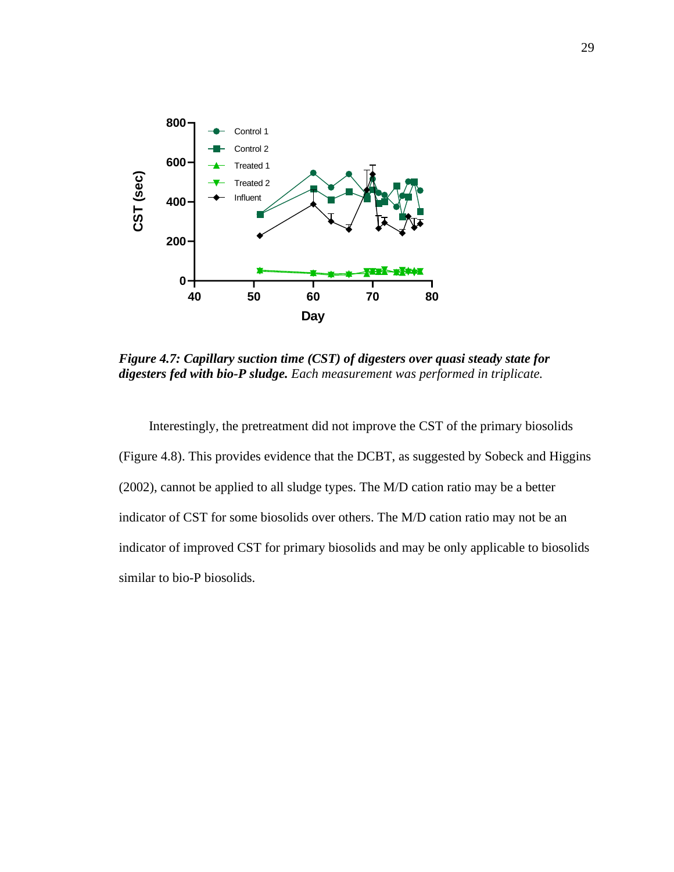

<span id="page-38-0"></span>*Figure 4.7: Capillary suction time (CST) of digesters over quasi steady state for digesters fed with bio-P sludge. Each measurement was performed in triplicate.*

Interestingly, the pretreatment did not improve the CST of the primary biosolids (Figure 4.8). This provides evidence that the DCBT, as suggested by Sobeck and Higgins (2002), cannot be applied to all sludge types. The M/D cation ratio may be a better indicator of CST for some biosolids over others. The M/D cation ratio may not be an indicator of improved CST for primary biosolids and may be only applicable to biosolids similar to bio-P biosolids.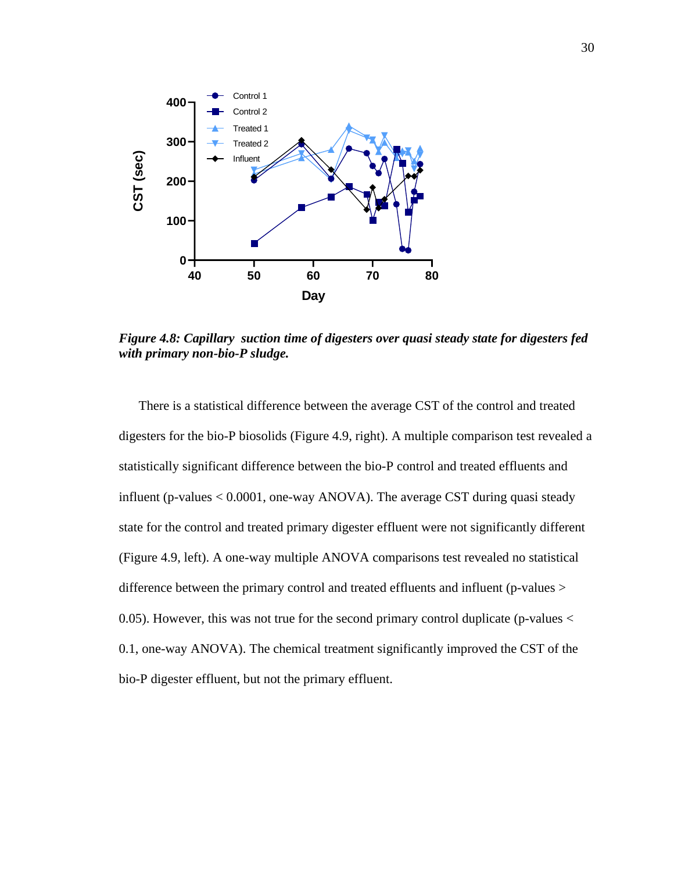

<span id="page-39-0"></span>*Figure 4.8: Capillary suction time of digesters over quasi steady state for digesters fed with primary non-bio-P sludge.*

There is a statistical difference between the average CST of the control and treated digesters for the bio-P biosolids (Figure 4.9, right). A multiple comparison test revealed a statistically significant difference between the bio-P control and treated effluents and influent (p-values < 0.0001, one-way ANOVA). The average CST during quasi steady state for the control and treated primary digester effluent were not significantly different (Figure 4.9, left). A one-way multiple ANOVA comparisons test revealed no statistical difference between the primary control and treated effluents and influent (p-values > 0.05). However, this was not true for the second primary control duplicate (p-values  $\lt$ 0.1, one-way ANOVA). The chemical treatment significantly improved the CST of the bio-P digester effluent, but not the primary effluent.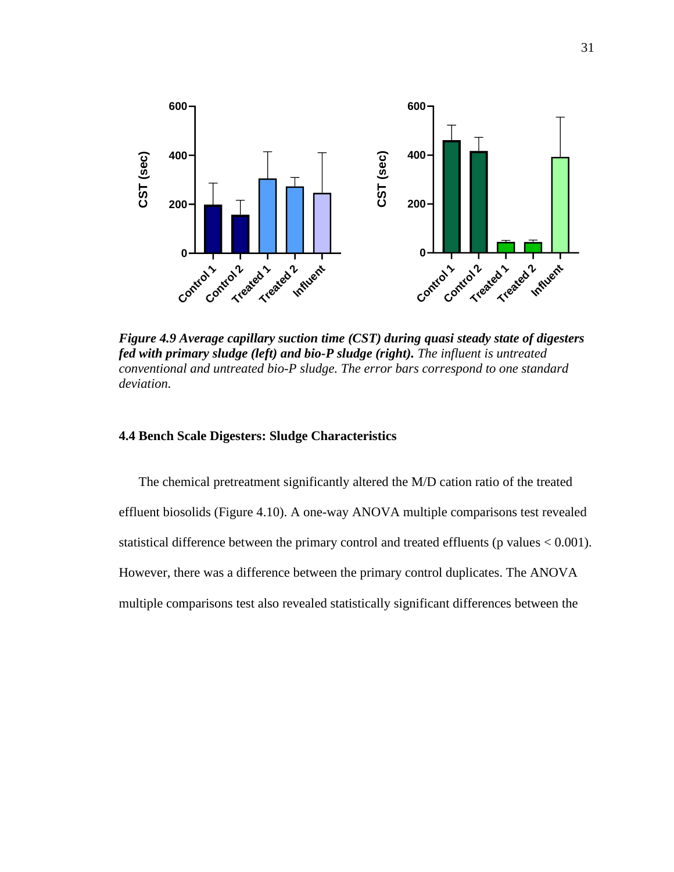

<span id="page-40-1"></span>*Figure 4.9 Average capillary suction time (CST) during quasi steady state of digesters fed with primary sludge (left) and bio-P sludge (right). The influent is untreated conventional and untreated bio-P sludge. The error bars correspond to one standard deviation.*

### <span id="page-40-0"></span>**4.4 Bench Scale Digesters: Sludge Characteristics**

The chemical pretreatment significantly altered the M/D cation ratio of the treated effluent biosolids (Figure 4.10). A one-way ANOVA multiple comparisons test revealed statistical difference between the primary control and treated effluents ( $p$  values  $< 0.001$ ). However, there was a difference between the primary control duplicates. The ANOVA multiple comparisons test also revealed statistically significant differences between the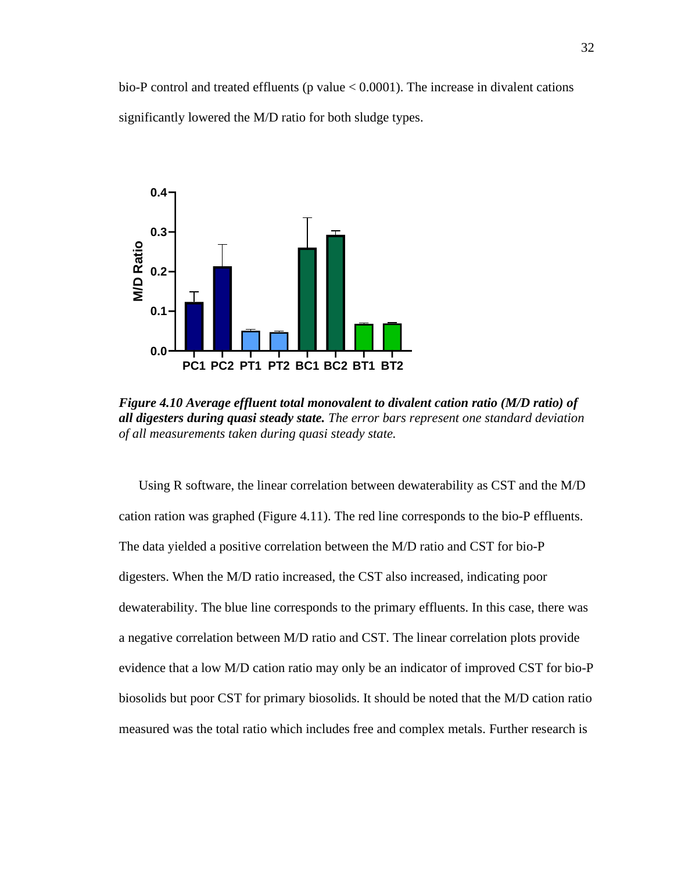bio-P control and treated effluents ( $p$  value  $< 0.0001$ ). The increase in divalent cations significantly lowered the M/D ratio for both sludge types.



<span id="page-41-0"></span>*Figure 4.10 Average effluent total monovalent to divalent cation ratio (M/D ratio) of all digesters during quasi steady state. The error bars represent one standard deviation of all measurements taken during quasi steady state.*

Using R software, the linear correlation between dewaterability as CST and the M/D cation ration was graphed (Figure 4.11). The red line corresponds to the bio-P effluents. The data yielded a positive correlation between the M/D ratio and CST for bio-P digesters. When the M/D ratio increased, the CST also increased, indicating poor dewaterability. The blue line corresponds to the primary effluents. In this case, there was a negative correlation between M/D ratio and CST. The linear correlation plots provide evidence that a low M/D cation ratio may only be an indicator of improved CST for bio-P biosolids but poor CST for primary biosolids. It should be noted that the M/D cation ratio measured was the total ratio which includes free and complex metals. Further research is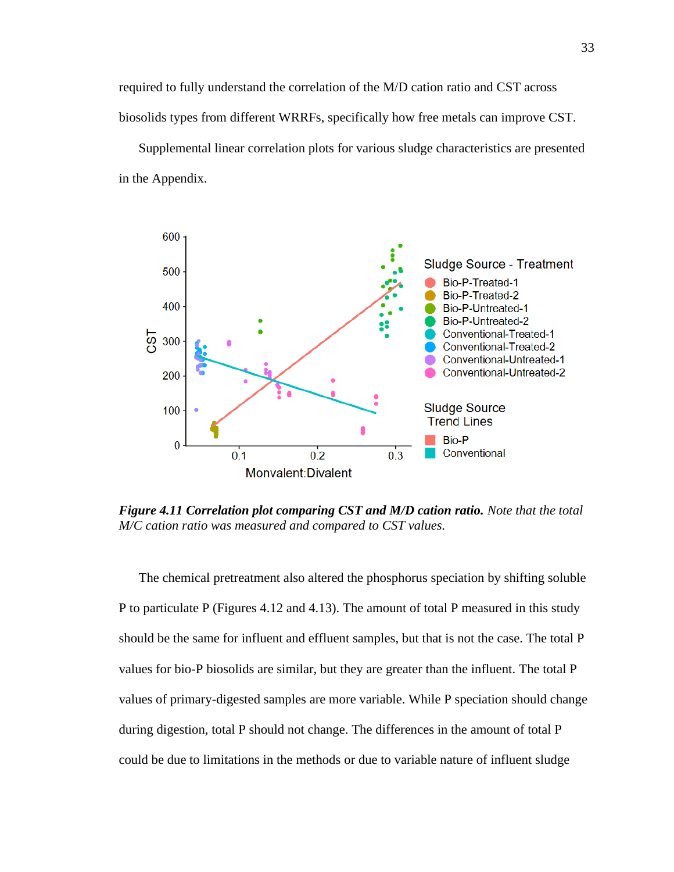required to fully understand the correlation of the M/D cation ratio and CST across biosolids types from different WRRFs, specifically how free metals can improve CST.

Supplemental linear correlation plots for various sludge characteristics are presented in the Appendix.



<span id="page-42-0"></span>*Figure 4.11 Correlation plot comparing CST and M/D cation ratio. Note that the total M/C cation ratio was measured and compared to CST values.* 

The chemical pretreatment also altered the phosphorus speciation by shifting soluble P to particulate P (Figures 4.12 and 4.13). The amount of total P measured in this study should be the same for influent and effluent samples, but that is not the case. The total P values for bio-P biosolids are similar, but they are greater than the influent. The total P values of primary-digested samples are more variable. While P speciation should change during digestion, total P should not change. The differences in the amount of total P could be due to limitations in the methods or due to variable nature of influent sludge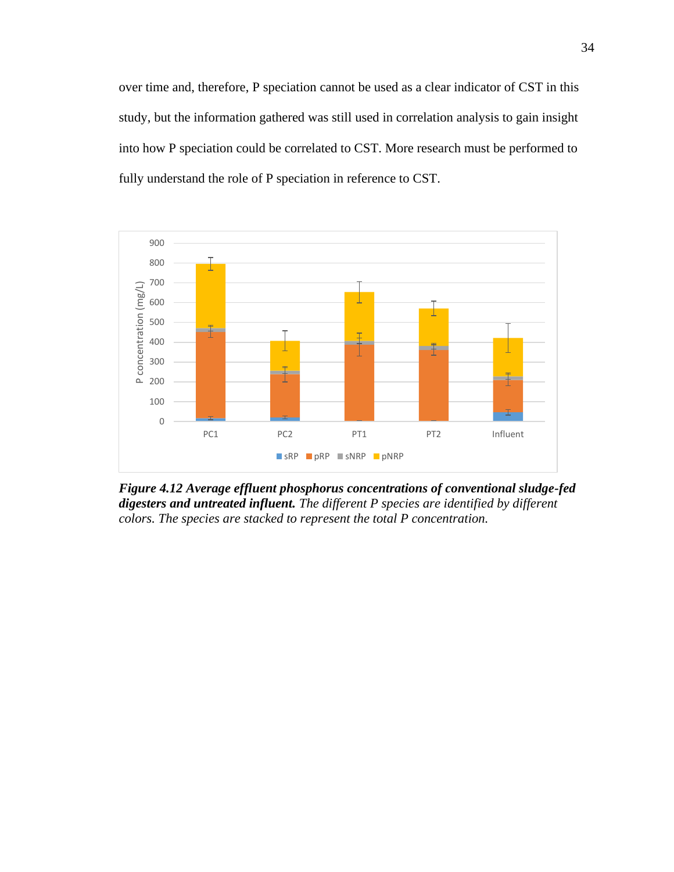over time and, therefore, P speciation cannot be used as a clear indicator of CST in this study, but the information gathered was still used in correlation analysis to gain insight into how P speciation could be correlated to CST. More research must be performed to fully understand the role of P speciation in reference to CST.



<span id="page-43-0"></span>*Figure 4.12 Average effluent phosphorus concentrations of conventional sludge-fed digesters and untreated influent. The different P species are identified by different colors. The species are stacked to represent the total P concentration.*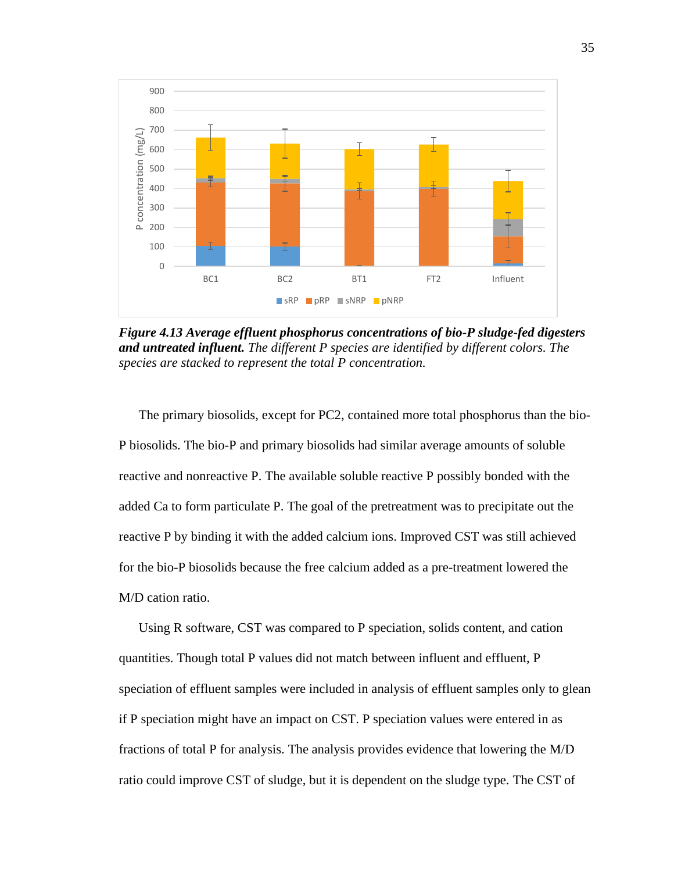

<span id="page-44-0"></span>*Figure 4.13 Average effluent phosphorus concentrations of bio-P sludge-fed digesters and untreated influent. The different P species are identified by different colors. The species are stacked to represent the total P concentration.*

The primary biosolids, except for PC2, contained more total phosphorus than the bio-P biosolids. The bio-P and primary biosolids had similar average amounts of soluble reactive and nonreactive P. The available soluble reactive P possibly bonded with the added Ca to form particulate P. The goal of the pretreatment was to precipitate out the reactive P by binding it with the added calcium ions. Improved CST was still achieved for the bio-P biosolids because the free calcium added as a pre-treatment lowered the M/D cation ratio.

Using R software, CST was compared to P speciation, solids content, and cation quantities. Though total P values did not match between influent and effluent, P speciation of effluent samples were included in analysis of effluent samples only to glean if P speciation might have an impact on CST. P speciation values were entered in as fractions of total P for analysis. The analysis provides evidence that lowering the M/D ratio could improve CST of sludge, but it is dependent on the sludge type. The CST of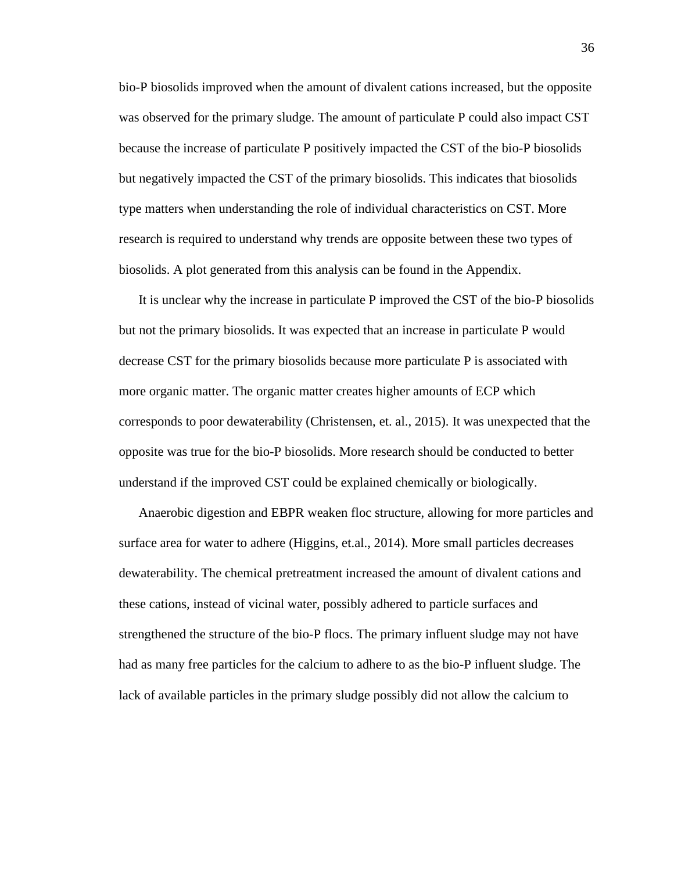bio-P biosolids improved when the amount of divalent cations increased, but the opposite was observed for the primary sludge. The amount of particulate P could also impact CST because the increase of particulate P positively impacted the CST of the bio-P biosolids but negatively impacted the CST of the primary biosolids. This indicates that biosolids type matters when understanding the role of individual characteristics on CST. More research is required to understand why trends are opposite between these two types of biosolids. A plot generated from this analysis can be found in the Appendix.

It is unclear why the increase in particulate P improved the CST of the bio-P biosolids but not the primary biosolids. It was expected that an increase in particulate P would decrease CST for the primary biosolids because more particulate P is associated with more organic matter. The organic matter creates higher amounts of ECP which corresponds to poor dewaterability (Christensen, et. al., 2015). It was unexpected that the opposite was true for the bio-P biosolids. More research should be conducted to better understand if the improved CST could be explained chemically or biologically.

Anaerobic digestion and EBPR weaken floc structure, allowing for more particles and surface area for water to adhere (Higgins, et.al., 2014). More small particles decreases dewaterability. The chemical pretreatment increased the amount of divalent cations and these cations, instead of vicinal water, possibly adhered to particle surfaces and strengthened the structure of the bio-P flocs. The primary influent sludge may not have had as many free particles for the calcium to adhere to as the bio-P influent sludge. The lack of available particles in the primary sludge possibly did not allow the calcium to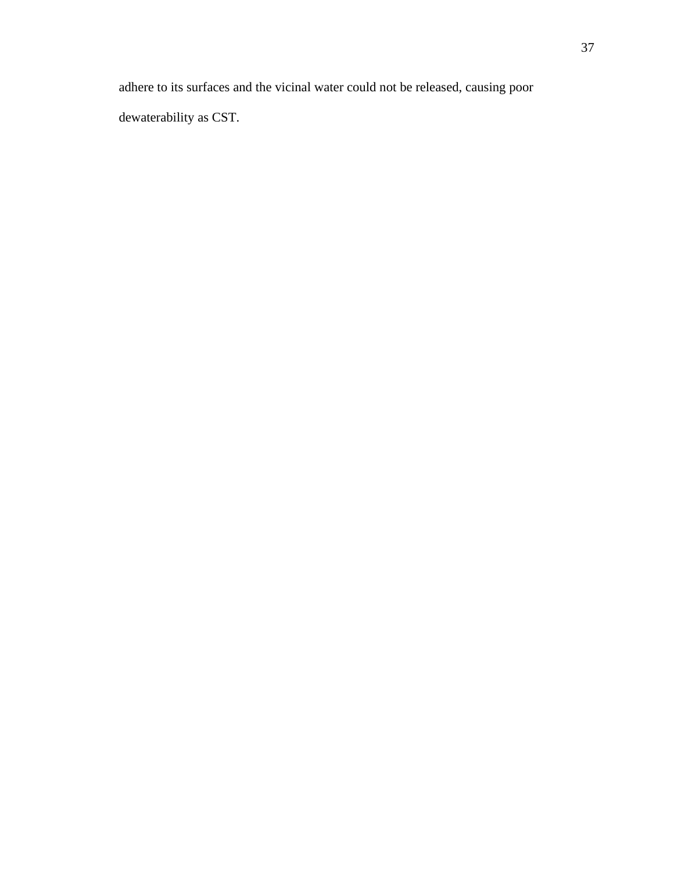adhere to its surfaces and the vicinal water could not be released, causing poor

dewaterability as CST.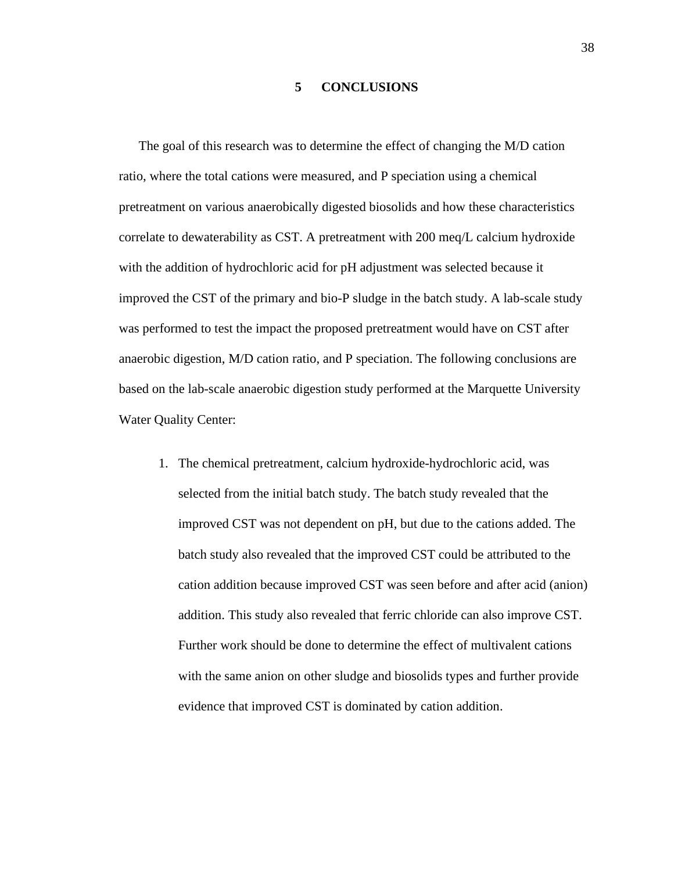#### **5 CONCLUSIONS**

<span id="page-47-0"></span>The goal of this research was to determine the effect of changing the M/D cation ratio, where the total cations were measured, and P speciation using a chemical pretreatment on various anaerobically digested biosolids and how these characteristics correlate to dewaterability as CST. A pretreatment with 200 meq/L calcium hydroxide with the addition of hydrochloric acid for pH adjustment was selected because it improved the CST of the primary and bio-P sludge in the batch study. A lab-scale study was performed to test the impact the proposed pretreatment would have on CST after anaerobic digestion, M/D cation ratio, and P speciation. The following conclusions are based on the lab-scale anaerobic digestion study performed at the Marquette University Water Quality Center:

1. The chemical pretreatment, calcium hydroxide-hydrochloric acid, was selected from the initial batch study. The batch study revealed that the improved CST was not dependent on pH, but due to the cations added. The batch study also revealed that the improved CST could be attributed to the cation addition because improved CST was seen before and after acid (anion) addition. This study also revealed that ferric chloride can also improve CST. Further work should be done to determine the effect of multivalent cations with the same anion on other sludge and biosolids types and further provide evidence that improved CST is dominated by cation addition.

38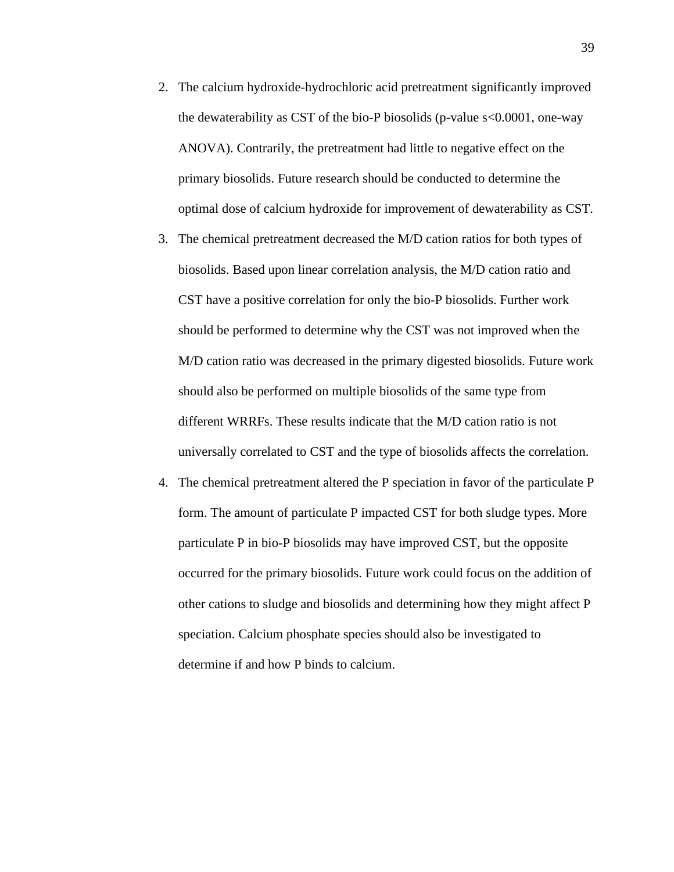- 2. The calcium hydroxide-hydrochloric acid pretreatment significantly improved the dewaterability as CST of the bio-P biosolids (p-value s<0.0001, one-way ANOVA). Contrarily, the pretreatment had little to negative effect on the primary biosolids. Future research should be conducted to determine the optimal dose of calcium hydroxide for improvement of dewaterability as CST.
- 3. The chemical pretreatment decreased the M/D cation ratios for both types of biosolids. Based upon linear correlation analysis, the M/D cation ratio and CST have a positive correlation for only the bio-P biosolids. Further work should be performed to determine why the CST was not improved when the M/D cation ratio was decreased in the primary digested biosolids. Future work should also be performed on multiple biosolids of the same type from different WRRFs. These results indicate that the M/D cation ratio is not universally correlated to CST and the type of biosolids affects the correlation.
- 4. The chemical pretreatment altered the P speciation in favor of the particulate P form. The amount of particulate P impacted CST for both sludge types. More particulate P in bio-P biosolids may have improved CST, but the opposite occurred for the primary biosolids. Future work could focus on the addition of other cations to sludge and biosolids and determining how they might affect P speciation. Calcium phosphate species should also be investigated to determine if and how P binds to calcium.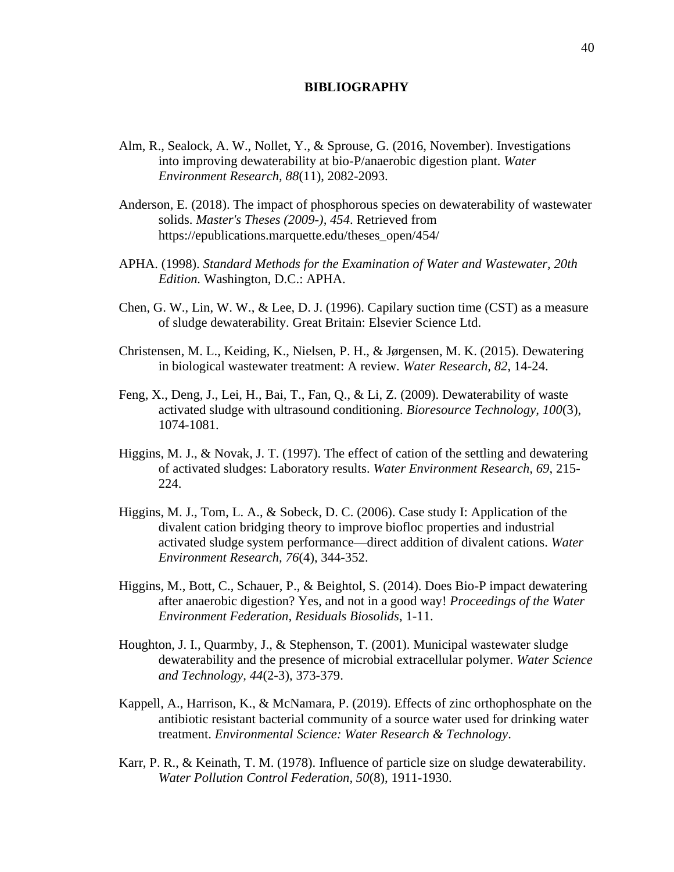#### **BIBLIOGRAPHY**

- <span id="page-49-0"></span>Alm, R., Sealock, A. W., Nollet, Y., & Sprouse, G. (2016, November). Investigations into improving dewaterability at bio-P/anaerobic digestion plant. *Water Environment Research, 88*(11), 2082-2093.
- Anderson, E. (2018). The impact of phosphorous species on dewaterability of wastewater solids. *Master's Theses (2009-), 454*. Retrieved from https://epublications.marquette.edu/theses\_open/454/
- APHA. (1998). *Standard Methods for the Examination of Water and Wastewater, 20th Edition.* Washington, D.C.: APHA.
- Chen, G. W., Lin, W. W., & Lee, D. J. (1996). Capilary suction time (CST) as a measure of sludge dewaterability. Great Britain: Elsevier Science Ltd.
- Christensen, M. L., Keiding, K., Nielsen, P. H., & Jørgensen, M. K. (2015). Dewatering in biological wastewater treatment: A review. *Water Research, 82*, 14-24.
- Feng, X., Deng, J., Lei, H., Bai, T., Fan, Q., & Li, Z. (2009). Dewaterability of waste activated sludge with ultrasound conditioning. *Bioresource Technology, 100*(3), 1074-1081.
- Higgins, M. J., & Novak, J. T. (1997). The effect of cation of the settling and dewatering of activated sludges: Laboratory results. *Water Environment Research, 69*, 215- 224.
- Higgins, M. J., Tom, L. A., & Sobeck, D. C. (2006). Case study I: Application of the divalent cation bridging theory to improve biofloc properties and industrial activated sludge system performance—direct addition of divalent cations. *Water Environment Research, 76*(4), 344-352.
- Higgins, M., Bott, C., Schauer, P., & Beightol, S. (2014). Does Bio-P impact dewatering after anaerobic digestion? Yes, and not in a good way! *Proceedings of the Water Environment Federation, Residuals Biosolids*, 1-11.
- Houghton, J. I., Quarmby, J., & Stephenson, T. (2001). Municipal wastewater sludge dewaterability and the presence of microbial extracellular polymer. *Water Science and Technology, 44*(2-3), 373-379.
- Kappell, A., Harrison, K., & McNamara, P. (2019). Effects of zinc orthophosphate on the antibiotic resistant bacterial community of a source water used for drinking water treatment. *Environmental Science: Water Research & Technology*.
- Karr, P. R., & Keinath, T. M. (1978). Influence of particle size on sludge dewaterability. *Water Pollution Control Federation, 50*(8), 1911-1930.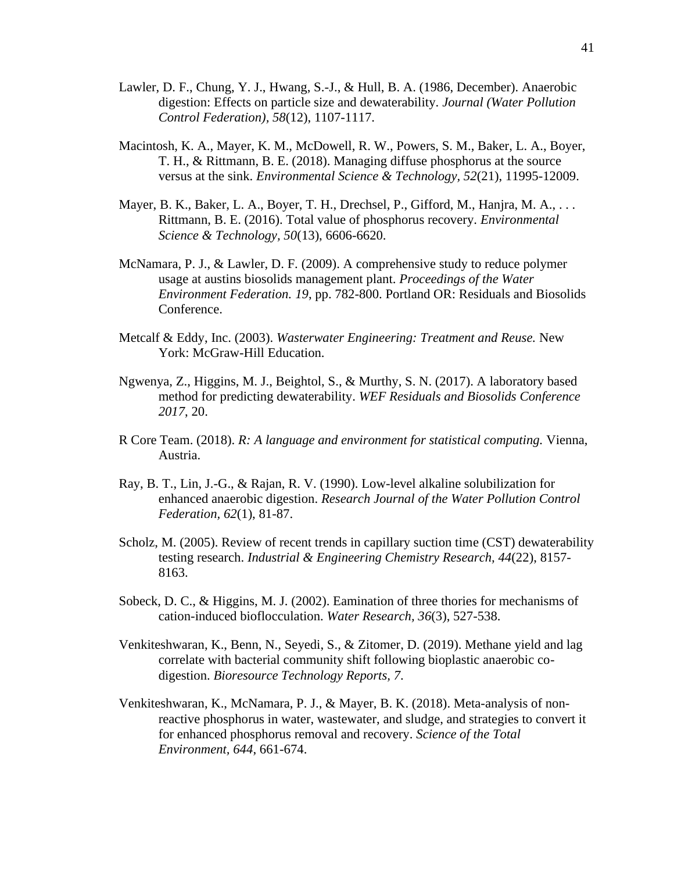- Lawler, D. F., Chung, Y. J., Hwang, S.-J., & Hull, B. A. (1986, December). Anaerobic digestion: Effects on particle size and dewaterability. *Journal (Water Pollution Control Federation), 58*(12), 1107-1117.
- Macintosh, K. A., Mayer, K. M., McDowell, R. W., Powers, S. M., Baker, L. A., Boyer, T. H., & Rittmann, B. E. (2018). Managing diffuse phosphorus at the source versus at the sink. *Environmental Science & Technology, 52*(21), 11995-12009.
- Mayer, B. K., Baker, L. A., Boyer, T. H., Drechsel, P., Gifford, M., Hanjra, M. A., ... Rittmann, B. E. (2016). Total value of phosphorus recovery. *Environmental Science & Technology, 50*(13), 6606-6620.
- McNamara, P. J., & Lawler, D. F. (2009). A comprehensive study to reduce polymer usage at austins biosolids management plant. *Proceedings of the Water Environment Federation. 19*, pp. 782-800. Portland OR: Residuals and Biosolids Conference.
- Metcalf & Eddy, Inc. (2003). *Wasterwater Engineering: Treatment and Reuse.* New York: McGraw-Hill Education.
- Ngwenya, Z., Higgins, M. J., Beightol, S., & Murthy, S. N. (2017). A laboratory based method for predicting dewaterability. *WEF Residuals and Biosolids Conference 2017*, 20.
- R Core Team. (2018). *R: A language and environment for statistical computing.* Vienna, Austria.
- Ray, B. T., Lin, J.-G., & Rajan, R. V. (1990). Low-level alkaline solubilization for enhanced anaerobic digestion. *Research Journal of the Water Pollution Control Federation, 62*(1), 81-87.
- Scholz, M. (2005). Review of recent trends in capillary suction time (CST) dewaterability testing research. *Industrial & Engineering Chemistry Research, 44*(22), 8157- 8163.
- Sobeck, D. C., & Higgins, M. J. (2002). Eamination of three thories for mechanisms of cation-induced bioflocculation. *Water Research, 36*(3), 527-538.
- Venkiteshwaran, K., Benn, N., Seyedi, S., & Zitomer, D. (2019). Methane yield and lag correlate with bacterial community shift following bioplastic anaerobic codigestion. *Bioresource Technology Reports, 7*.
- Venkiteshwaran, K., McNamara, P. J., & Mayer, B. K. (2018). Meta-analysis of nonreactive phosphorus in water, wastewater, and sludge, and strategies to convert it for enhanced phosphorus removal and recovery. *Science of the Total Environment, 644*, 661-674.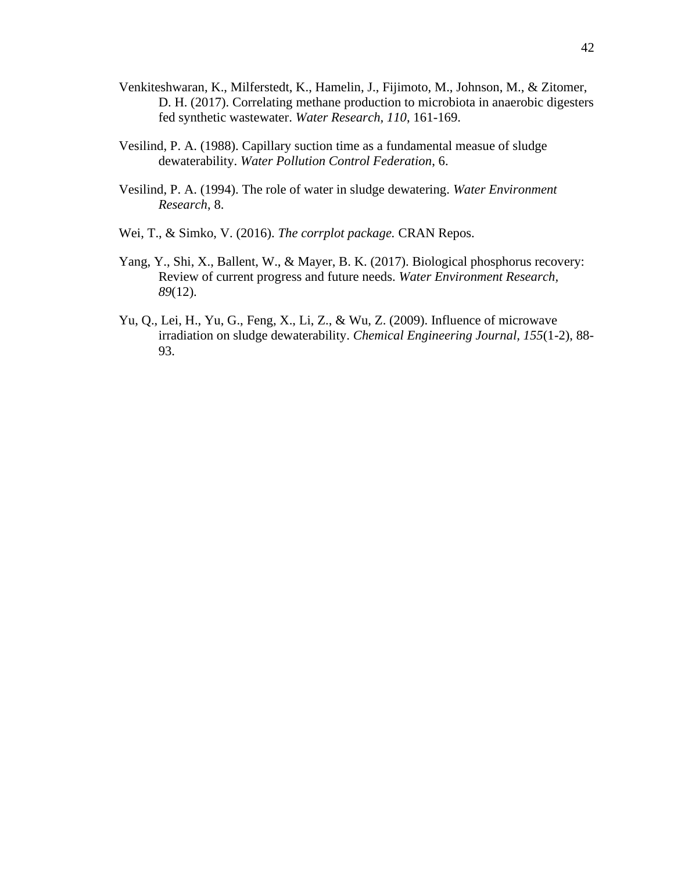- Venkiteshwaran, K., Milferstedt, K., Hamelin, J., Fijimoto, M., Johnson, M., & Zitomer, D. H. (2017). Correlating methane production to microbiota in anaerobic digesters fed synthetic wastewater. *Water Research, 110*, 161-169.
- Vesilind, P. A. (1988). Capillary suction time as a fundamental measue of sludge dewaterability. *Water Pollution Control Federation*, 6.
- Vesilind, P. A. (1994). The role of water in sludge dewatering. *Water Environment Research*, 8.
- Wei, T., & Simko, V. (2016). *The corrplot package.* CRAN Repos.
- Yang, Y., Shi, X., Ballent, W., & Mayer, B. K. (2017). Biological phosphorus recovery: Review of current progress and future needs. *Water Environment Research, 89*(12).
- Yu, Q., Lei, H., Yu, G., Feng, X., Li, Z., & Wu, Z. (2009). Influence of microwave irradiation on sludge dewaterability. *Chemical Engineering Journal, 155*(1-2), 88- 93.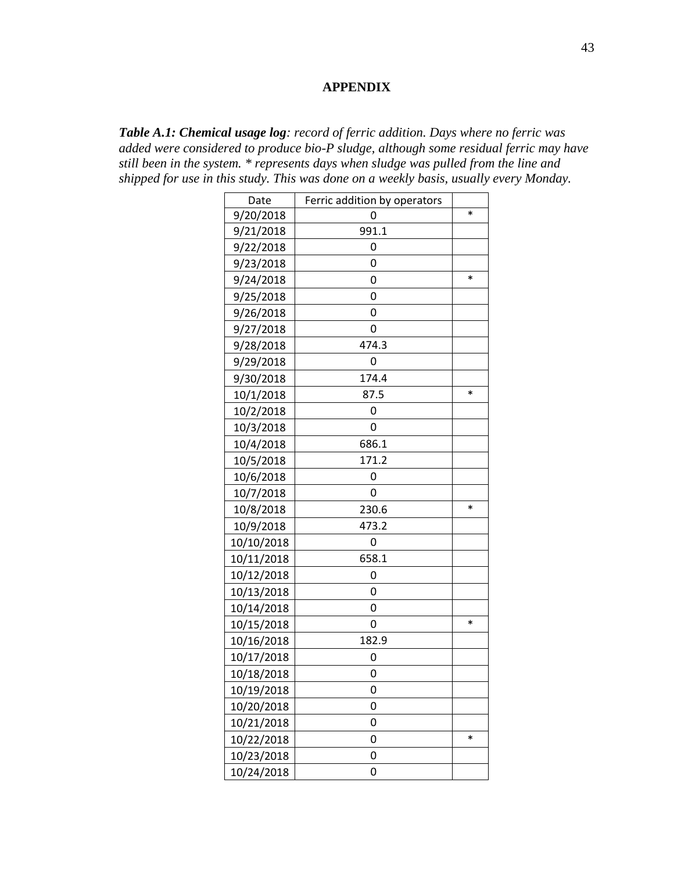## **APPENDIX**

<span id="page-52-0"></span>*Table A.1: Chemical usage log: record of ferric addition. Days where no ferric was added were considered to produce bio-P sludge, although some residual ferric may have still been in the system. \* represents days when sludge was pulled from the line and shipped for use in this study. This was done on a weekly basis, usually every Monday.* 

| Date       | Ferric addition by operators |        |
|------------|------------------------------|--------|
| 9/20/2018  | 0                            | $\ast$ |
| 9/21/2018  | 991.1                        |        |
| 9/22/2018  | 0                            |        |
| 9/23/2018  | 0                            |        |
| 9/24/2018  | 0                            | *      |
| 9/25/2018  | 0                            |        |
| 9/26/2018  | 0                            |        |
| 9/27/2018  | 0                            |        |
| 9/28/2018  | 474.3                        |        |
| 9/29/2018  | 0                            |        |
| 9/30/2018  | 174.4                        |        |
| 10/1/2018  | 87.5                         | $\ast$ |
| 10/2/2018  | 0                            |        |
| 10/3/2018  | 0                            |        |
| 10/4/2018  | 686.1                        |        |
| 10/5/2018  | 171.2                        |        |
| 10/6/2018  | 0                            |        |
| 10/7/2018  | 0                            |        |
| 10/8/2018  | 230.6                        | $\ast$ |
| 10/9/2018  | 473.2                        |        |
| 10/10/2018 | 0                            |        |
| 10/11/2018 | 658.1                        |        |
| 10/12/2018 | 0                            |        |
| 10/13/2018 | 0                            |        |
| 10/14/2018 | 0                            |        |
| 10/15/2018 | 0                            | $\ast$ |
| 10/16/2018 | 182.9                        |        |
| 10/17/2018 | 0                            |        |
| 10/18/2018 | 0                            |        |
| 10/19/2018 | 0                            |        |
| 10/20/2018 | 0                            |        |
| 10/21/2018 | 0                            |        |
| 10/22/2018 | 0                            | $\ast$ |
| 10/23/2018 | 0                            |        |
| 10/24/2018 | 0                            |        |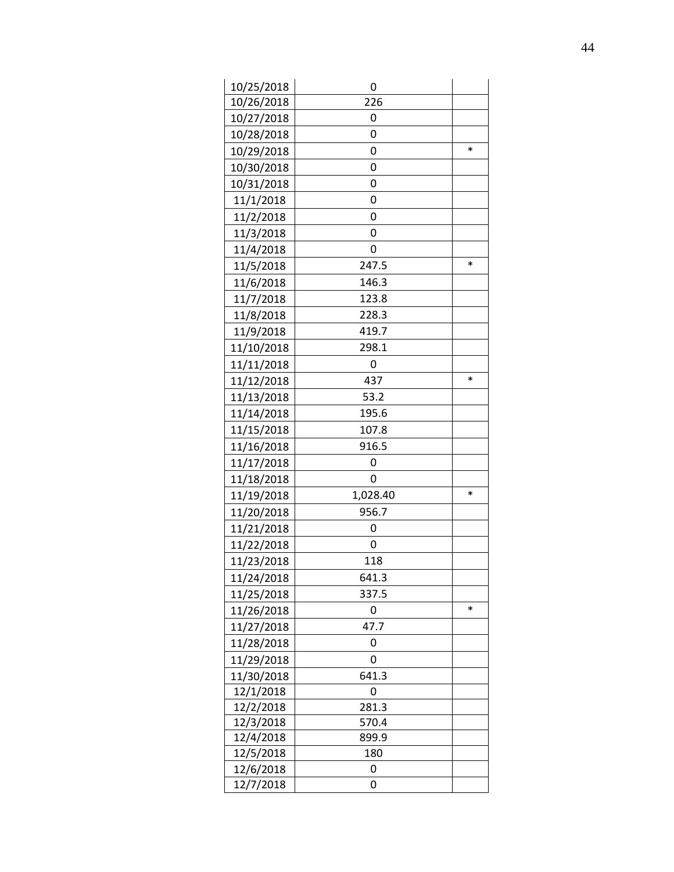| 10/25/2018 | 0        |        |
|------------|----------|--------|
| 10/26/2018 | 226      |        |
| 10/27/2018 | 0        |        |
| 10/28/2018 | 0        |        |
| 10/29/2018 | 0        | $\ast$ |
| 10/30/2018 | 0        |        |
| 10/31/2018 | 0        |        |
| 11/1/2018  | 0        |        |
| 11/2/2018  | 0        |        |
| 11/3/2018  | 0        |        |
| 11/4/2018  | 0        |        |
| 11/5/2018  | 247.5    | $\ast$ |
| 11/6/2018  | 146.3    |        |
| 11/7/2018  | 123.8    |        |
| 11/8/2018  | 228.3    |        |
| 11/9/2018  | 419.7    |        |
| 11/10/2018 | 298.1    |        |
| 11/11/2018 | 0        |        |
| 11/12/2018 | 437      | $\ast$ |
| 11/13/2018 | 53.2     |        |
| 11/14/2018 | 195.6    |        |
| 11/15/2018 | 107.8    |        |
| 11/16/2018 | 916.5    |        |
| 11/17/2018 | 0        |        |
| 11/18/2018 | 0        |        |
| 11/19/2018 | 1,028.40 | *      |
| 11/20/2018 | 956.7    |        |
| 11/21/2018 | 0        |        |
| 11/22/2018 | 0        |        |
| 11/23/2018 | 118      |        |
| 11/24/2018 | 641.3    |        |
| 11/25/2018 | 337.5    |        |
| 11/26/2018 | 0        | $\ast$ |
| 11/27/2018 | 47.7     |        |
| 11/28/2018 | 0        |        |
| 11/29/2018 | 0        |        |
| 11/30/2018 | 641.3    |        |
| 12/1/2018  | 0        |        |
| 12/2/2018  | 281.3    |        |
| 12/3/2018  | 570.4    |        |
| 12/4/2018  | 899.9    |        |
| 12/5/2018  | 180      |        |
| 12/6/2018  | 0        |        |
| 12/7/2018  | 0        |        |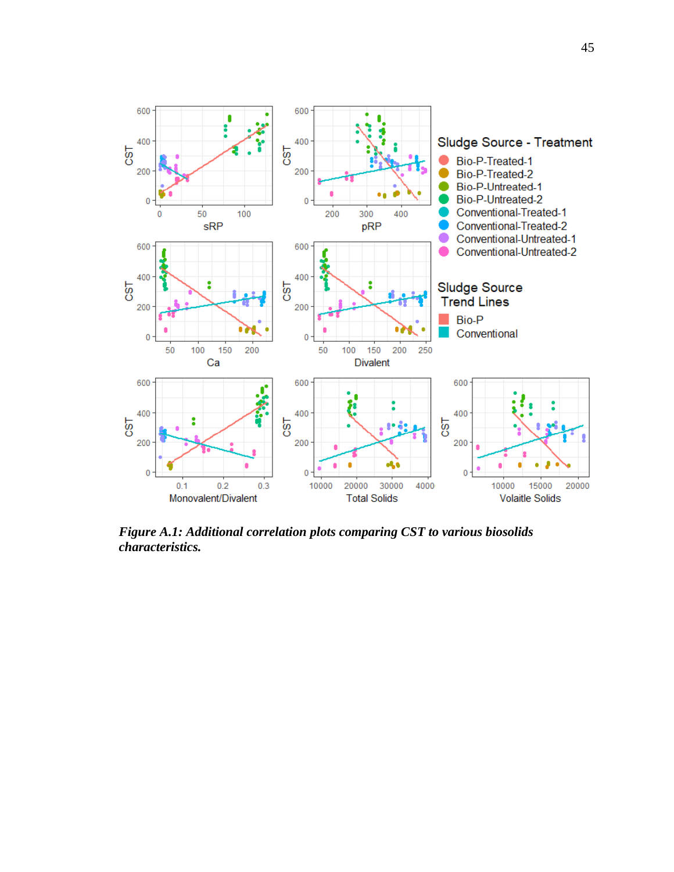

<span id="page-54-0"></span>*Figure A.1: Additional correlation plots comparing CST to various biosolids characteristics.*